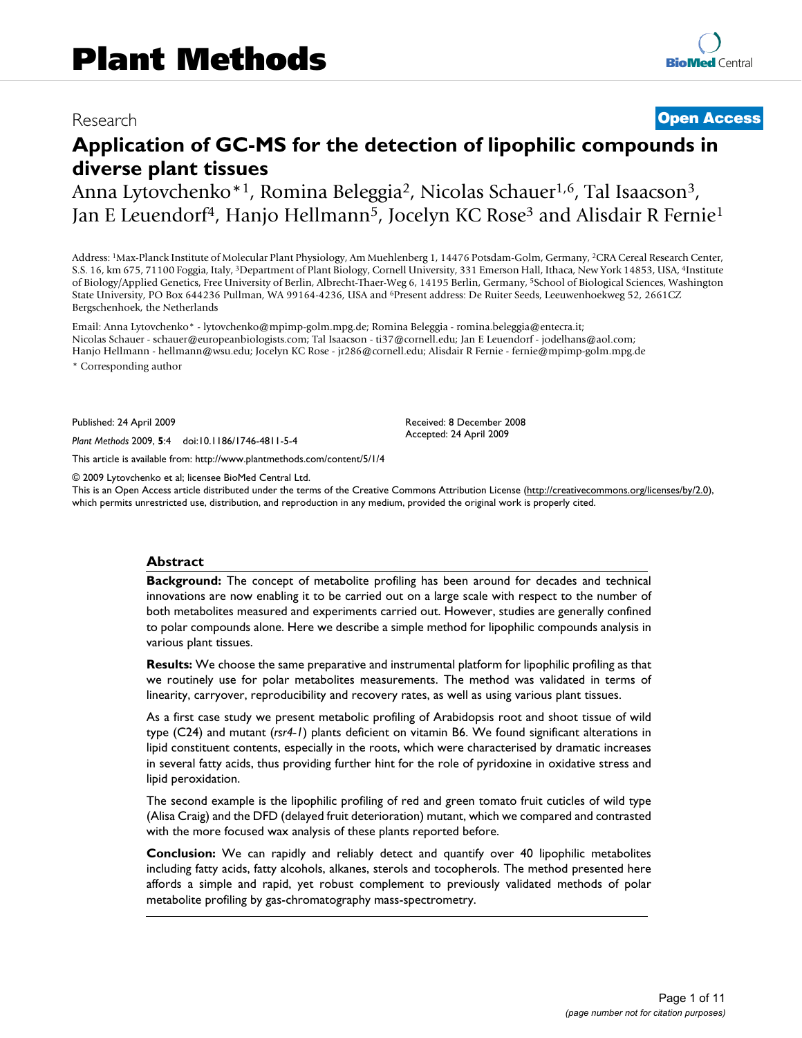# Research **[Open Access](http://www.biomedcentral.com/info/about/charter/)**

# **Application of GC-MS for the detection of lipophilic compounds in diverse plant tissues**

Anna Lytovchenko\*1, Romina Beleggia2, Nicolas Schauer1,6, Tal Isaacson3, Jan E Leuendorf<sup>4</sup>, Hanjo Hellmann<sup>5</sup>, Jocelyn KC Rose<sup>3</sup> and Alisdair R Fernie<sup>1</sup>

Address: 1Max-Planck Institute of Molecular Plant Physiology, Am Muehlenberg 1, 14476 Potsdam-Golm, Germany, 2CRA Cereal Research Center, S.S. 16, km 675, 71100 Foggia, Italy, 3Department of Plant Biology, Cornell University, 331 Emerson Hall, Ithaca, New York 14853, USA, 4Institute of Biology/Applied Genetics, Free University of Berlin, Albrecht-Thaer-Weg 6, 14195 Berlin, Germany, 5School of Biological Sciences, Washington State University, PO Box 644236 Pullman, WA 99164-4236, USA and 6Present address: De Ruiter Seeds, Leeuwenhoekweg 52, 2661CZ Bergschenhoek, the Netherlands

Email: Anna Lytovchenko\* - lytovchenko@mpimp-golm.mpg.de; Romina Beleggia - romina.beleggia@entecra.it; Nicolas Schauer - schauer@europeanbiologists.com; Tal Isaacson - ti37@cornell.edu; Jan E Leuendorf - jodelhans@aol.com; Hanjo Hellmann - hellmann@wsu.edu; Jocelyn KC Rose - jr286@cornell.edu; Alisdair R Fernie - fernie@mpimp-golm.mpg.de \* Corresponding author

Published: 24 April 2009

*Plant Methods* 2009, **5**:4 doi:10.1186/1746-4811-5-4

[This article is available from: http://www.plantmethods.com/content/5/1/4](http://www.plantmethods.com/content/5/1/4)

© 2009 Lytovchenko et al; licensee BioMed Central Ltd.

This is an Open Access article distributed under the terms of the Creative Commons Attribution License [\(http://creativecommons.org/licenses/by/2.0\)](http://creativecommons.org/licenses/by/2.0), which permits unrestricted use, distribution, and reproduction in any medium, provided the original work is properly cited.

Received: 8 December 2008 Accepted: 24 April 2009

#### **Abstract**

**Background:** The concept of metabolite profiling has been around for decades and technical innovations are now enabling it to be carried out on a large scale with respect to the number of both metabolites measured and experiments carried out. However, studies are generally confined to polar compounds alone. Here we describe a simple method for lipophilic compounds analysis in various plant tissues.

**Results:** We choose the same preparative and instrumental platform for lipophilic profiling as that we routinely use for polar metabolites measurements. The method was validated in terms of linearity, carryover, reproducibility and recovery rates, as well as using various plant tissues.

As a first case study we present metabolic profiling of Arabidopsis root and shoot tissue of wild type (C24) and mutant (*rsr4-1*) plants deficient on vitamin B6. We found significant alterations in lipid constituent contents, especially in the roots, which were characterised by dramatic increases in several fatty acids, thus providing further hint for the role of pyridoxine in oxidative stress and lipid peroxidation.

The second example is the lipophilic profiling of red and green tomato fruit cuticles of wild type (Alisa Craig) and the DFD (delayed fruit deterioration) mutant, which we compared and contrasted with the more focused wax analysis of these plants reported before.

**Conclusion:** We can rapidly and reliably detect and quantify over 40 lipophilic metabolites including fatty acids, fatty alcohols, alkanes, sterols and tocopherols. The method presented here affords a simple and rapid, yet robust complement to previously validated methods of polar metabolite profiling by gas-chromatography mass-spectrometry.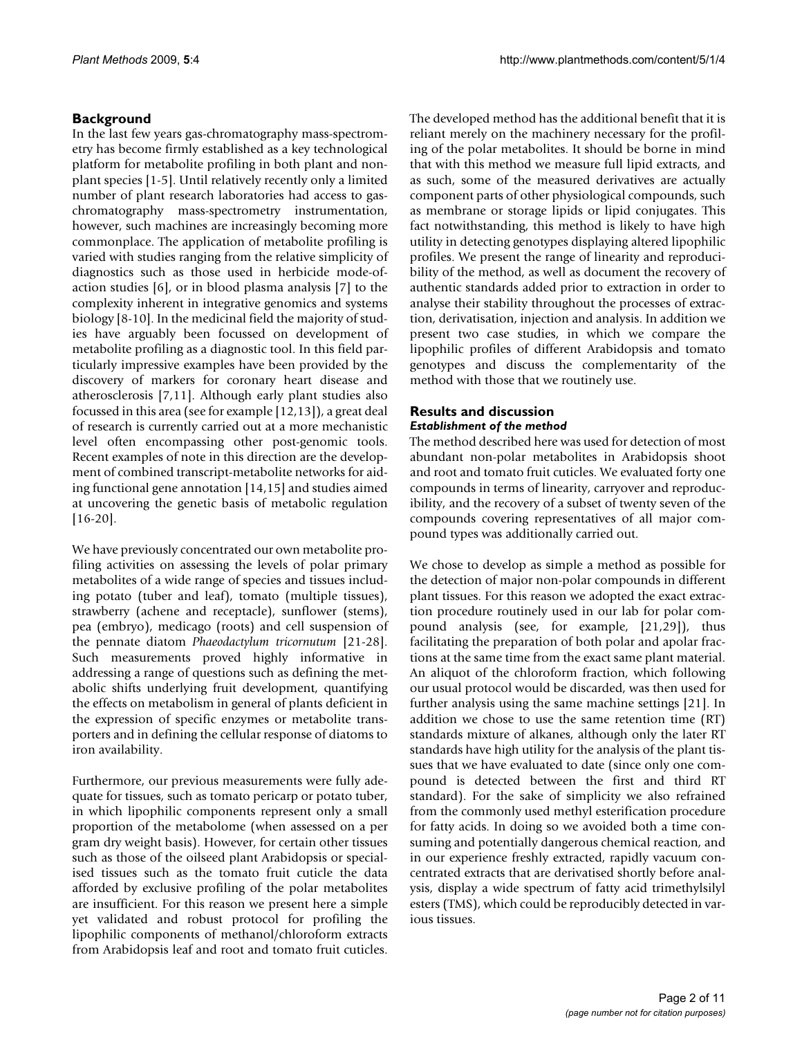# **Background**

In the last few years gas-chromatography mass-spectrometry has become firmly established as a key technological platform for metabolite profiling in both plant and nonplant species [1-5]. Until relatively recently only a limited number of plant research laboratories had access to gaschromatography mass-spectrometry instrumentation, however, such machines are increasingly becoming more commonplace. The application of metabolite profiling is varied with studies ranging from the relative simplicity of diagnostics such as those used in herbicide mode-ofaction studies [6], or in blood plasma analysis [7] to the complexity inherent in integrative genomics and systems biology [8-10]. In the medicinal field the majority of studies have arguably been focussed on development of metabolite profiling as a diagnostic tool. In this field particularly impressive examples have been provided by the discovery of markers for coronary heart disease and atherosclerosis [7,11]. Although early plant studies also focussed in this area (see for example [12,13]), a great deal of research is currently carried out at a more mechanistic level often encompassing other post-genomic tools. Recent examples of note in this direction are the development of combined transcript-metabolite networks for aiding functional gene annotation [14,15] and studies aimed at uncovering the genetic basis of metabolic regulation [16-20].

We have previously concentrated our own metabolite profiling activities on assessing the levels of polar primary metabolites of a wide range of species and tissues including potato (tuber and leaf), tomato (multiple tissues), strawberry (achene and receptacle), sunflower (stems), pea (embryo), medicago (roots) and cell suspension of the pennate diatom *Phaeodactylum tricornutum* [21-28]. Such measurements proved highly informative in addressing a range of questions such as defining the metabolic shifts underlying fruit development, quantifying the effects on metabolism in general of plants deficient in the expression of specific enzymes or metabolite transporters and in defining the cellular response of diatoms to iron availability.

Furthermore, our previous measurements were fully adequate for tissues, such as tomato pericarp or potato tuber, in which lipophilic components represent only a small proportion of the metabolome (when assessed on a per gram dry weight basis). However, for certain other tissues such as those of the oilseed plant Arabidopsis or specialised tissues such as the tomato fruit cuticle the data afforded by exclusive profiling of the polar metabolites are insufficient. For this reason we present here a simple yet validated and robust protocol for profiling the lipophilic components of methanol/chloroform extracts from Arabidopsis leaf and root and tomato fruit cuticles.

The developed method has the additional benefit that it is reliant merely on the machinery necessary for the profiling of the polar metabolites. It should be borne in mind that with this method we measure full lipid extracts, and as such, some of the measured derivatives are actually component parts of other physiological compounds, such as membrane or storage lipids or lipid conjugates. This fact notwithstanding, this method is likely to have high utility in detecting genotypes displaying altered lipophilic profiles. We present the range of linearity and reproducibility of the method, as well as document the recovery of authentic standards added prior to extraction in order to analyse their stability throughout the processes of extraction, derivatisation, injection and analysis. In addition we present two case studies, in which we compare the lipophilic profiles of different Arabidopsis and tomato genotypes and discuss the complementarity of the method with those that we routinely use.

#### **Results and discussion** *Establishment of the method*

The method described here was used for detection of most abundant non-polar metabolites in Arabidopsis shoot and root and tomato fruit cuticles. We evaluated forty one compounds in terms of linearity, carryover and reproducibility, and the recovery of a subset of twenty seven of the compounds covering representatives of all major compound types was additionally carried out.

We chose to develop as simple a method as possible for the detection of major non-polar compounds in different plant tissues. For this reason we adopted the exact extraction procedure routinely used in our lab for polar compound analysis (see, for example, [21,29]), thus facilitating the preparation of both polar and apolar fractions at the same time from the exact same plant material. An aliquot of the chloroform fraction, which following our usual protocol would be discarded, was then used for further analysis using the same machine settings [21]. In addition we chose to use the same retention time (RT) standards mixture of alkanes, although only the later RT standards have high utility for the analysis of the plant tissues that we have evaluated to date (since only one compound is detected between the first and third RT standard). For the sake of simplicity we also refrained from the commonly used methyl esterification procedure for fatty acids. In doing so we avoided both a time consuming and potentially dangerous chemical reaction, and in our experience freshly extracted, rapidly vacuum concentrated extracts that are derivatised shortly before analysis, display a wide spectrum of fatty acid trimethylsilyl esters (TMS), which could be reproducibly detected in various tissues.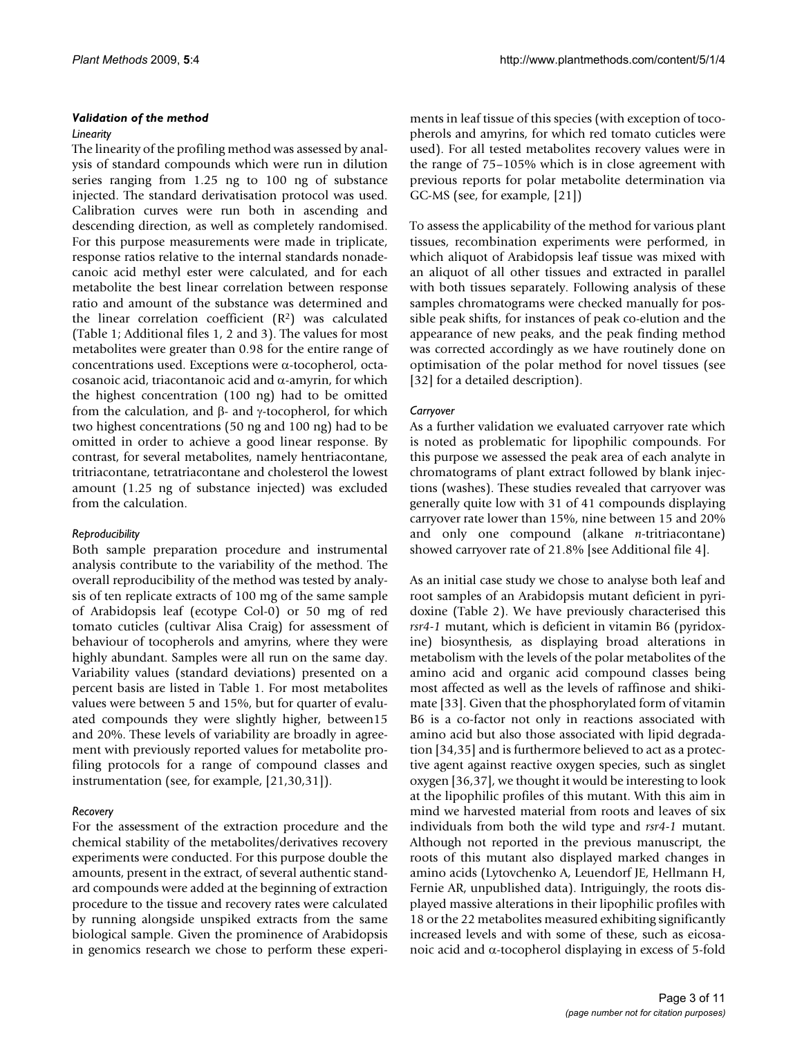#### *Validation of the method*

#### *Linearity*

The linearity of the profiling method was assessed by analysis of standard compounds which were run in dilution series ranging from 1.25 ng to 100 ng of substance injected. The standard derivatisation protocol was used. Calibration curves were run both in ascending and descending direction, as well as completely randomised. For this purpose measurements were made in triplicate, response ratios relative to the internal standards nonadecanoic acid methyl ester were calculated, and for each metabolite the best linear correlation between response ratio and amount of the substance was determined and the linear correlation coefficient (R2) was calculated (Table 1; Additional files 1, 2 and 3). The values for most metabolites were greater than 0.98 for the entire range of concentrations used. Exceptions were α-tocopherol, octacosanoic acid, triacontanoic acid and α-amyrin, for which the highest concentration (100 ng) had to be omitted from the calculation, and β- and γ-tocopherol, for which two highest concentrations (50 ng and 100 ng) had to be omitted in order to achieve a good linear response. By contrast, for several metabolites, namely hentriacontane, tritriacontane, tetratriacontane and cholesterol the lowest amount (1.25 ng of substance injected) was excluded from the calculation.

#### *Reproducibility*

Both sample preparation procedure and instrumental analysis contribute to the variability of the method. The overall reproducibility of the method was tested by analysis of ten replicate extracts of 100 mg of the same sample of Arabidopsis leaf (ecotype Col-0) or 50 mg of red tomato cuticles (cultivar Alisa Craig) for assessment of behaviour of tocopherols and amyrins, where they were highly abundant. Samples were all run on the same day. Variability values (standard deviations) presented on a percent basis are listed in Table 1. For most metabolites values were between 5 and 15%, but for quarter of evaluated compounds they were slightly higher, between15 and 20%. These levels of variability are broadly in agreement with previously reported values for metabolite profiling protocols for a range of compound classes and instrumentation (see, for example, [21,30,31]).

#### *Recovery*

For the assessment of the extraction procedure and the chemical stability of the metabolites/derivatives recovery experiments were conducted. For this purpose double the amounts, present in the extract, of several authentic standard compounds were added at the beginning of extraction procedure to the tissue and recovery rates were calculated by running alongside unspiked extracts from the same biological sample. Given the prominence of Arabidopsis in genomics research we chose to perform these experiments in leaf tissue of this species (with exception of tocopherols and amyrins, for which red tomato cuticles were used). For all tested metabolites recovery values were in the range of 75–105% which is in close agreement with previous reports for polar metabolite determination via GC-MS (see, for example, [21])

To assess the applicability of the method for various plant tissues, recombination experiments were performed, in which aliquot of Arabidopsis leaf tissue was mixed with an aliquot of all other tissues and extracted in parallel with both tissues separately. Following analysis of these samples chromatograms were checked manually for possible peak shifts, for instances of peak co-elution and the appearance of new peaks, and the peak finding method was corrected accordingly as we have routinely done on optimisation of the polar method for novel tissues (see [32] for a detailed description).

#### *Carryover*

As a further validation we evaluated carryover rate which is noted as problematic for lipophilic compounds. For this purpose we assessed the peak area of each analyte in chromatograms of plant extract followed by blank injections (washes). These studies revealed that carryover was generally quite low with 31 of 41 compounds displaying carryover rate lower than 15%, nine between 15 and 20% and only one compound (alkane *n*-tritriacontane) showed carryover rate of 21.8% [see Additional file 4].

As an initial case study we chose to analyse both leaf and root samples of an Arabidopsis mutant deficient in pyridoxine (Table 2). We have previously characterised this *rsr4-1* mutant, which is deficient in vitamin B6 (pyridoxine) biosynthesis, as displaying broad alterations in metabolism with the levels of the polar metabolites of the amino acid and organic acid compound classes being most affected as well as the levels of raffinose and shikimate [33]. Given that the phosphorylated form of vitamin B6 is a co-factor not only in reactions associated with amino acid but also those associated with lipid degradation [34,35] and is furthermore believed to act as a protective agent against reactive oxygen species, such as singlet oxygen [36,37], we thought it would be interesting to look at the lipophilic profiles of this mutant. With this aim in mind we harvested material from roots and leaves of six individuals from both the wild type and *rsr4-1* mutant. Although not reported in the previous manuscript, the roots of this mutant also displayed marked changes in amino acids (Lytovchenko A, Leuendorf JE, Hellmann H, Fernie AR, unpublished data). Intriguingly, the roots displayed massive alterations in their lipophilic profiles with 18 or the 22 metabolites measured exhibiting significantly increased levels and with some of these, such as eicosanoic acid and α-tocopherol displaying in excess of 5-fold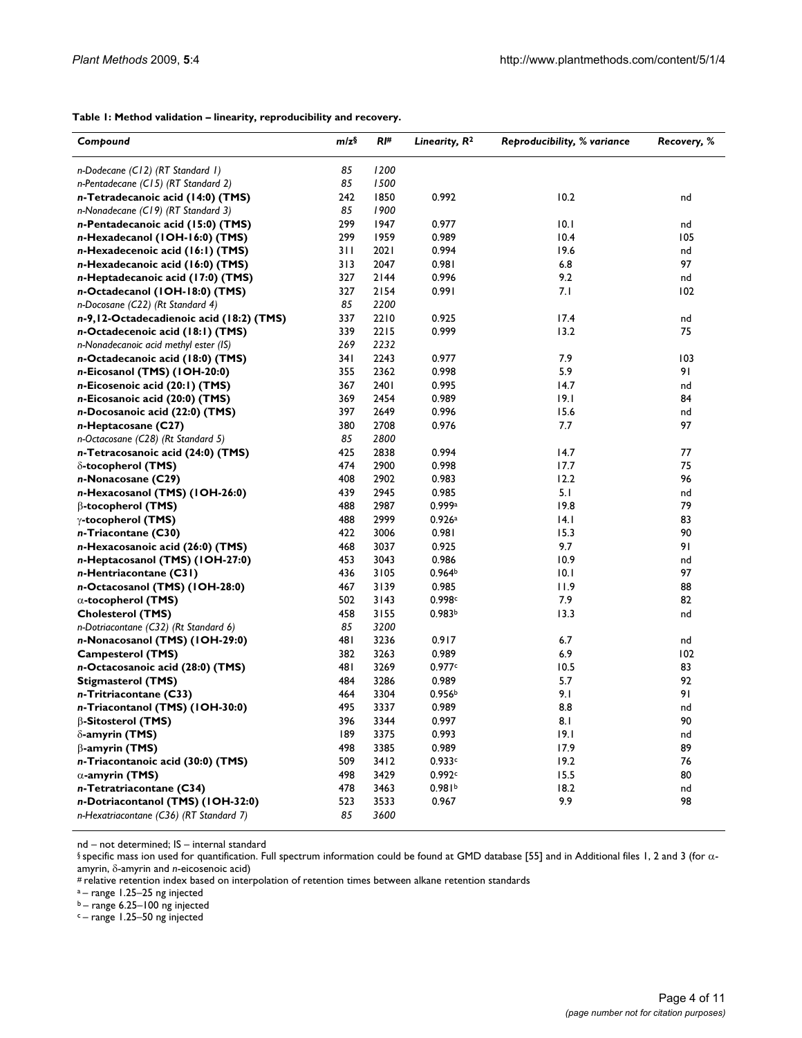**Table 1: Method validation – linearity, reproducibility and recovery.**

| Compound                                 | m/z§  | RI#  | Linearity, R <sup>2</sup> | Reproducibility, % variance | Recovery, % |
|------------------------------------------|-------|------|---------------------------|-----------------------------|-------------|
|                                          |       |      |                           |                             |             |
| n-Dodecane (C12) (RT Standard 1)         | 85    | 1200 |                           |                             |             |
| n-Pentadecane (C15) (RT Standard 2)      | 85    | 1500 |                           |                             |             |
| n-Tetradecanoic acid (14:0) (TMS)        | 242   | 1850 | 0.992                     | 10.2                        | nd          |
| n-Nonadecane (C19) (RT Standard 3)       | 85    | 1900 |                           |                             |             |
| n-Pentadecanoic acid (15:0) (TMS)        | 299   | 1947 | 0.977                     | 10.1                        | nd          |
| n-Hexadecanol (1OH-16:0) (TMS)           | 299   | 1959 | 0.989                     | 10.4                        | 105         |
| n-Hexadecenoic acid (16:1) (TMS)         | 3 I I | 2021 | 0.994                     | 19.6                        | nd          |
| n-Hexadecanoic acid (16:0) (TMS)         | 313   | 2047 | 0.981                     | 6.8                         | 97          |
| n-Heptadecanoic acid (17:0) (TMS)        | 327   | 2144 | 0.996                     | 9.2                         | nd          |
| n-Octadecanol (IOH-18:0) (TMS)           | 327   | 2154 | 0.991                     | 7.1                         | 102         |
| n-Docosane (C22) (Rt Standard 4)         | 85    | 2200 |                           |                             |             |
| n-9,12-Octadecadienoic acid (18:2) (TMS) | 337   | 2210 | 0.925                     | 17.4                        | nd          |
| n-Octadecenoic acid (18:1) (TMS)         | 339   | 2215 | 0.999                     | 13.2                        | 75          |
| n-Nonadecanoic acid methyl ester (IS)    | 269   | 2232 |                           |                             |             |
| n-Octadecanoic acid (18:0) (TMS)         | 341   | 2243 | 0.977                     | 7.9                         | 103         |
| n-Eicosanol (TMS) (1OH-20:0)             | 355   | 2362 | 0.998                     | 5.9                         | 91          |
| n-Eicosenoic acid (20:1) (TMS)           | 367   | 2401 | 0.995                     | 14.7                        | nd          |
| n-Eicosanoic acid (20:0) (TMS)           | 369   | 2454 | 0.989                     | 9.1                         | 84          |
| n-Docosanoic acid (22:0) (TMS)           | 397   | 2649 | 0.996                     | 15.6                        | nd          |
| n-Heptacosane (C27)                      | 380   | 2708 | 0.976                     | 7.7                         | 97          |
| n-Octacosane (C28) (Rt Standard 5)       | 85    | 2800 |                           |                             |             |
| n-Tetracosanoic acid (24:0) (TMS)        | 425   | 2838 | 0.994                     | 14.7                        | 77          |
| δ-tocopherol (TMS)                       | 474   | 2900 | 0.998                     | 17.7                        | 75          |
| n-Nonacosane (C29)                       | 408   | 2902 | 0.983                     | 12.2                        | 96          |
| n-Hexacosanol (TMS) (1OH-26:0)           | 439   | 2945 | 0.985                     | 5.1                         | nd          |
| $\beta$ -tocopherol (TMS)                | 488   | 2987 | 0.999a                    | 19.8                        | 79          |
| $\gamma$ -tocopherol (TMS)               | 488   | 2999 | 0.926a                    | 4.1                         | 83          |
| n-Triacontane (C30)                      | 422   | 3006 | 0.981                     | 15.3                        | 90          |
| n-Hexacosanoic acid (26:0) (TMS)         | 468   | 3037 | 0.925                     | 9.7                         | 91          |
| n-Heptacosanol (TMS) (1OH-27:0)          | 453   | 3043 | 0.986                     | 10.9                        | nd          |
| n-Hentriacontane (C31)                   | 436   | 3105 | 0.964 <sup>b</sup>        | 10.1                        | 97          |
| n-Octacosanol (TMS) (1OH-28:0)           | 467   | 3139 | 0.985                     | 11.9                        | 88          |
| $\alpha$ -tocopherol (TMS)               | 502   | 3143 | 0.998c                    | 7.9                         | 82          |
| <b>Cholesterol (TMS)</b>                 | 458   | 3155 | 0.983 <sup>b</sup>        | 13.3                        | nd          |
| n-Dotriacontane (C32) (Rt Standard 6)    | 85    | 3200 |                           |                             |             |
| n-Nonacosanol (TMS) (IOH-29:0)           | 481   | 3236 | 0.917                     | 6.7                         | nd          |
| <b>Campesterol (TMS)</b>                 | 382   | 3263 | 0.989                     | 6.9                         | 102         |
| n-Octacosanoic acid (28:0) (TMS)         | 481   | 3269 | 0.977c                    | 10.5                        | 83          |
| <b>Stigmasterol (TMS)</b>                | 484   | 3286 | 0.989                     | 5.7                         | 92          |
| n-Tritriacontane (C33)                   | 464   | 3304 | 0.956 <sup>b</sup>        | 9.1                         | 91          |
| n-Triacontanol (TMS) (IOH-30:0)          | 495   | 3337 | 0.989                     | 8.8                         | nd          |
| β-Sitosterol (TMS)                       | 396   | 3344 | 0.997                     | 8.1                         | 90          |
| δ-amyrin (TMS)                           | 189   | 3375 | 0.993                     | 19.1                        | nd          |
| $\beta$ -amyrin (TMS)                    | 498   | 3385 | 0.989                     | 17.9                        | 89          |
| n-Triacontanoic acid (30:0) (TMS)        | 509   | 3412 | 0.933c                    | 19.2                        | 76          |
| $\alpha$ -amyrin (TMS)                   | 498   | 3429 | 0.992c                    | 15.5                        | 80          |
| n-Tetratriacontane (C34)                 | 478   | 3463 | 0.981 <sup>b</sup>        | 18.2                        | nd          |
| n-Dotriacontanol (TMS) (IOH-32:0)        | 523   | 3533 | 0.967                     | 9.9                         | 98          |
| n-Hexatriacontane (C36) (RT Standard 7)  | 85    | 3600 |                           |                             |             |

nd – not determined; IS – internal standard

§ specific mass ion used for quantification. Full spectrum information could be found at GMD database [55] and in Additional files 1, 2 and 3 (for αamyrin, δ-amyrin and *n*-eicosenoic acid)

# relative retention index based on interpolation of retention times between alkane retention standards

a – range 1.25–25 ng injected

<sup>b</sup> – range 6.25–100 ng injected

c – range 1.25–50 ng injected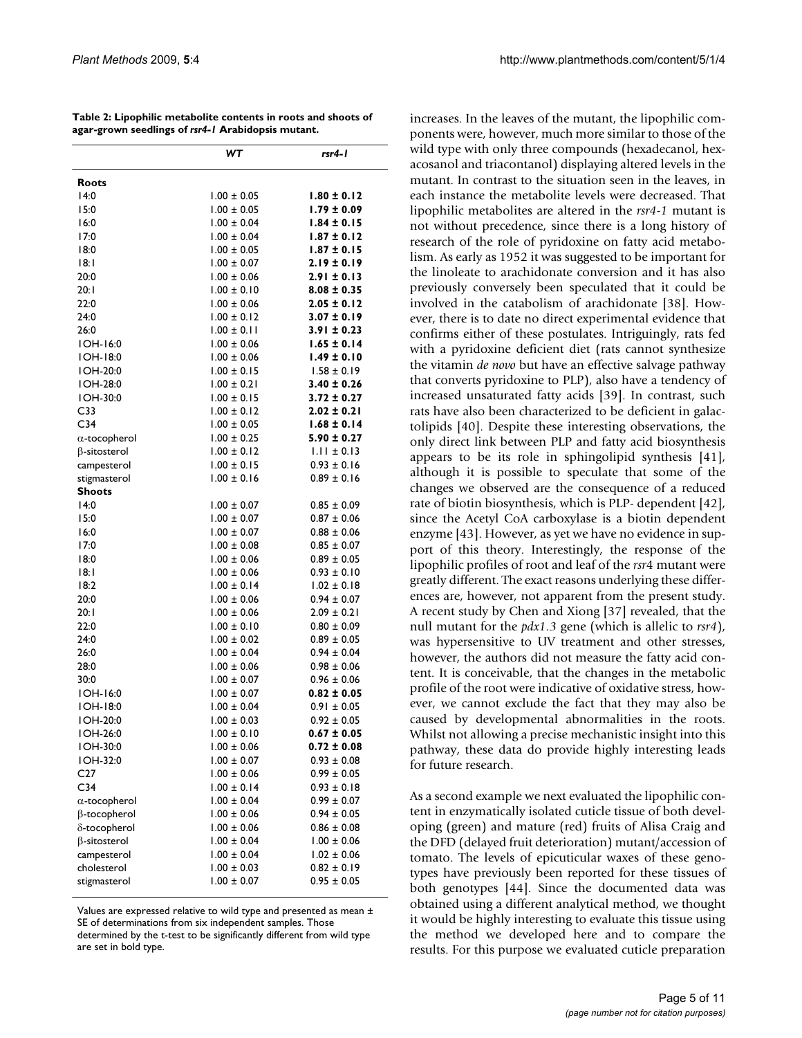| Table 2: Lipophilic metabolite contents in roots and shoots of |
|----------------------------------------------------------------|
| agar-grown seedlings of rsr4-1 Arabidopsis mutant.             |

|                      | WΤ              | rsr4- l         |
|----------------------|-----------------|-----------------|
| Roots                |                 |                 |
| 14:0                 | $1.00 \pm 0.05$ | $1.80 \pm 0.12$ |
| 15:0                 | $1.00 \pm 0.05$ | $1.79 \pm 0.09$ |
| 16:0                 | $1.00 \pm 0.04$ | $1.84 \pm 0.15$ |
| 17:0                 | $1.00 \pm 0.04$ | $1.87 \pm 0.12$ |
| 18:0                 | $1.00 \pm 0.05$ | $1.87 \pm 0.15$ |
| 18:1                 | $1.00 \pm 0.07$ | $2.19 \pm 0.19$ |
| 20:0                 | $1.00 \pm 0.06$ | $2.91 \pm 0.13$ |
| 20:1                 | $1.00 \pm 0.10$ | $8.08 \pm 0.35$ |
| 22:0                 | $1.00 \pm 0.06$ | $2.05 \pm 0.12$ |
| 24:0                 | $1.00 \pm 0.12$ | $3.07 \pm 0.19$ |
| 26:0                 | $1.00 \pm 0.11$ | $3.91 \pm 0.23$ |
| IOH-16:0             | $1.00 \pm 0.06$ | $1.65 \pm 0.14$ |
| IOH-18:0             | $1.00 \pm 0.06$ | $1.49 \pm 0.10$ |
| IOH-20:0             | $1.00 \pm 0.15$ | $1.58 \pm 0.19$ |
| IOH-28:0             | $1.00 \pm 0.21$ | $3.40 \pm 0.26$ |
| IOH-30:0             | $1.00 \pm 0.15$ | $3.72 \pm 0.27$ |
| C33                  | $1.00 \pm 0.12$ | $2.02 \pm 0.21$ |
| C34                  | $1.00 \pm 0.05$ | $1.68 \pm 0.14$ |
| $\alpha$ -tocopherol | $1.00 \pm 0.25$ | $5.90 \pm 0.27$ |
| $\beta$ -sitosterol  | $1.00 \pm 0.12$ | $1.11 \pm 0.13$ |
| campesterol          | $1.00 \pm 0.15$ | $0.93 \pm 0.16$ |
| stigmasterol         | $1.00 \pm 0.16$ | $0.89 \pm 0.16$ |
| <b>Shoots</b>        |                 |                 |
| 14:0                 | $1.00 \pm 0.07$ | $0.85 \pm 0.09$ |
| 15:0                 | $1.00 \pm 0.07$ | $0.87 \pm 0.06$ |
| 16:0                 | $1.00 \pm 0.07$ | $0.88 \pm 0.06$ |
| 17:0                 | $1.00 \pm 0.08$ | $0.85 \pm 0.07$ |
| 18:0                 | $1.00 \pm 0.06$ | $0.89 \pm 0.05$ |
| 18: I                | $1.00 \pm 0.06$ | $0.93 \pm 0.10$ |
| 18:2                 | $1.00 \pm 0.14$ | $1.02 \pm 0.18$ |
| 20:0                 | $1.00 \pm 0.06$ | $0.94 \pm 0.07$ |
| 20:1                 | $1.00 \pm 0.06$ | $2.09 \pm 0.21$ |
| 22:0                 | $1.00 \pm 0.10$ | $0.80 \pm 0.09$ |
| 24:0                 | $1.00 \pm 0.02$ | $0.89 \pm 0.05$ |
| 26:0                 | $1.00 \pm 0.04$ | $0.94 \pm 0.04$ |
| 28:0                 | $1.00 \pm 0.06$ | $0.98 \pm 0.06$ |
| 30:0                 | $1.00 \pm 0.07$ | $0.96 \pm 0.06$ |
| IOH-16:0             | $1.00 \pm 0.07$ | $0.82 \pm 0.05$ |
| <b>IOH-18:0</b>      | $1.00 \pm 0.04$ | $0.91 \pm 0.05$ |
| IOH-20:0             | $1.00 \pm 0.03$ | $0.92 \pm 0.05$ |
| IOH-26:0             | $1.00 \pm 0.10$ | $0.67 \pm 0.05$ |
| IOH-30:0             | $1.00 \pm 0.06$ | $0.72 \pm 0.08$ |
| IOH-32:0             | $1.00 \pm 0.07$ | $0.93 \pm 0.08$ |
| C27                  | $1.00 \pm 0.06$ | $0.99 \pm 0.05$ |
| C34                  | $1.00 \pm 0.14$ | $0.93 \pm 0.18$ |
| $\alpha$ -tocopherol | $1.00 \pm 0.04$ | $0.99 \pm 0.07$ |
| β-tocopherol         | $1.00 \pm 0.06$ | $0.94 \pm 0.05$ |
| δ-tocopherol         | $1.00 \pm 0.06$ | $0.86 \pm 0.08$ |
| <b>B-sitosterol</b>  | $1.00 \pm 0.04$ | $1.00 \pm 0.06$ |
| campesterol          | $1.00 \pm 0.04$ | $1.02 \pm 0.06$ |
| cholesterol          | $1.00 \pm 0.03$ | $0.82 \pm 0.19$ |
| stigmasterol         | $1.00 \pm 0.07$ | $0.95 \pm 0.05$ |
|                      |                 |                 |

Values are expressed relative to wild type and presented as mean ± SE of determinations from six independent samples. Those determined by the t-test to be significantly different from wild type are set in bold type.

increases. In the leaves of the mutant, the lipophilic components were, however, much more similar to those of the wild type with only three compounds (hexadecanol, hexacosanol and triacontanol) displaying altered levels in the mutant. In contrast to the situation seen in the leaves, in each instance the metabolite levels were decreased. That lipophilic metabolites are altered in the *rsr4-1* mutant is not without precedence, since there is a long history of research of the role of pyridoxine on fatty acid metabolism. As early as 1952 it was suggested to be important for the linoleate to arachidonate conversion and it has also previously conversely been speculated that it could be involved in the catabolism of arachidonate [38]. However, there is to date no direct experimental evidence that confirms either of these postulates. Intriguingly, rats fed with a pyridoxine deficient diet (rats cannot synthesize the vitamin *de novo* but have an effective salvage pathway that converts pyridoxine to PLP), also have a tendency of increased unsaturated fatty acids [39]. In contrast, such rats have also been characterized to be deficient in galactolipids [40]. Despite these interesting observations, the only direct link between PLP and fatty acid biosynthesis appears to be its role in sphingolipid synthesis [41], although it is possible to speculate that some of the changes we observed are the consequence of a reduced rate of biotin biosynthesis, which is PLP- dependent [42], since the Acetyl CoA carboxylase is a biotin dependent enzyme [43]. However, as yet we have no evidence in support of this theory. Interestingly, the response of the lipophilic profiles of root and leaf of the *rsr*4 mutant were greatly different. The exact reasons underlying these differences are, however, not apparent from the present study. A recent study by Chen and Xiong [37] revealed, that the null mutant for the *pdx1.3* gene (which is allelic to *rsr4*), was hypersensitive to UV treatment and other stresses, however, the authors did not measure the fatty acid content. It is conceivable, that the changes in the metabolic profile of the root were indicative of oxidative stress, however, we cannot exclude the fact that they may also be caused by developmental abnormalities in the roots. Whilst not allowing a precise mechanistic insight into this pathway, these data do provide highly interesting leads for future research.

As a second example we next evaluated the lipophilic content in enzymatically isolated cuticle tissue of both developing (green) and mature (red) fruits of Alisa Craig and the DFD (delayed fruit deterioration) mutant/accession of tomato. The levels of epicuticular waxes of these genotypes have previously been reported for these tissues of both genotypes [44]. Since the documented data was obtained using a different analytical method, we thought it would be highly interesting to evaluate this tissue using the method we developed here and to compare the results. For this purpose we evaluated cuticle preparation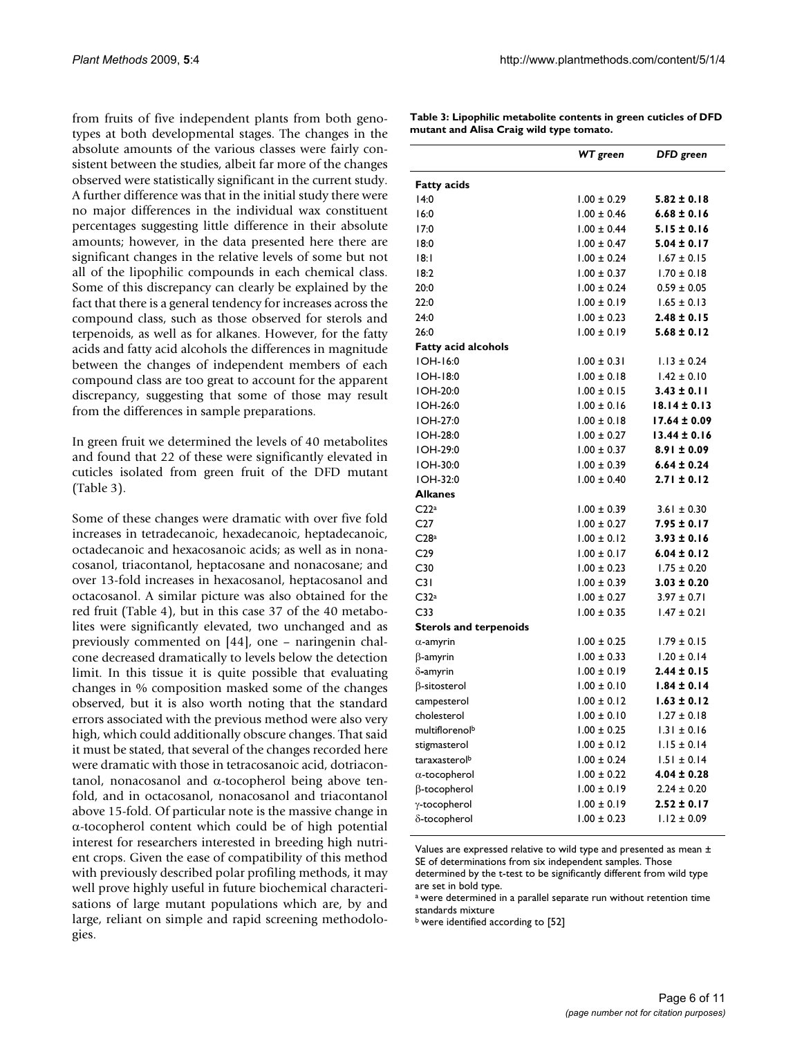from fruits of five independent plants from both genotypes at both developmental stages. The changes in the absolute amounts of the various classes were fairly consistent between the studies, albeit far more of the changes observed were statistically significant in the current study. A further difference was that in the initial study there were no major differences in the individual wax constituent percentages suggesting little difference in their absolute amounts; however, in the data presented here there are significant changes in the relative levels of some but not all of the lipophilic compounds in each chemical class. Some of this discrepancy can clearly be explained by the fact that there is a general tendency for increases across the compound class, such as those observed for sterols and terpenoids, as well as for alkanes. However, for the fatty acids and fatty acid alcohols the differences in magnitude between the changes of independent members of each compound class are too great to account for the apparent discrepancy, suggesting that some of those may result from the differences in sample preparations.

In green fruit we determined the levels of 40 metabolites and found that 22 of these were significantly elevated in cuticles isolated from green fruit of the DFD mutant (Table 3).

Some of these changes were dramatic with over five fold increases in tetradecanoic, hexadecanoic, heptadecanoic, octadecanoic and hexacosanoic acids; as well as in nonacosanol, triacontanol, heptacosane and nonacosane; and over 13-fold increases in hexacosanol, heptacosanol and octacosanol. A similar picture was also obtained for the red fruit (Table 4), but in this case 37 of the 40 metabolites were significantly elevated, two unchanged and as previously commented on [44], one – naringenin chalcone decreased dramatically to levels below the detection limit. In this tissue it is quite possible that evaluating changes in % composition masked some of the changes observed, but it is also worth noting that the standard errors associated with the previous method were also very high, which could additionally obscure changes. That said it must be stated, that several of the changes recorded here were dramatic with those in tetracosanoic acid, dotriacontanol, nonacosanol and α-tocopherol being above tenfold, and in octacosanol, nonacosanol and triacontanol above 15-fold. Of particular note is the massive change in α-tocopherol content which could be of high potential interest for researchers interested in breeding high nutrient crops. Given the ease of compatibility of this method with previously described polar profiling methods, it may well prove highly useful in future biochemical characterisations of large mutant populations which are, by and large, reliant on simple and rapid screening methodologies.

**Table 3: Lipophilic metabolite contents in green cuticles of DFD mutant and Alisa Craig wild type tomato.**

|                               | WT green        | DFD green        |
|-------------------------------|-----------------|------------------|
| <b>Fatty acids</b>            |                 |                  |
| 14:0                          | $1.00 \pm 0.29$ | $5.82 \pm 0.18$  |
| 16:0                          | $1.00 \pm 0.46$ | $6.68 \pm 0.16$  |
| 17:0                          | $1.00 \pm 0.44$ | $5.15 \pm 0.16$  |
| 18:0                          | $1.00 \pm 0.47$ | $5.04 \pm 0.17$  |
| 18:1                          | $1.00 \pm 0.24$ | $1.67 \pm 0.15$  |
| 18:2                          | $1.00 \pm 0.37$ | $1.70 \pm 0.18$  |
| 20:0                          | $1.00 \pm 0.24$ | $0.59 \pm 0.05$  |
| 22:0                          | $1.00 \pm 0.19$ | $1.65 \pm 0.13$  |
| 24:0                          | $1.00 \pm 0.23$ | $2.48 \pm 0.15$  |
| 26:0                          | $1.00 \pm 0.19$ | $5.68 \pm 0.12$  |
| <b>Fatty acid alcohols</b>    |                 |                  |
| IOH-16:0                      | $1.00 \pm 0.31$ | $1.13 \pm 0.24$  |
| <b>IOH-18:0</b>               | $1.00 \pm 0.18$ | $1.42 \pm 0.10$  |
| IOH-20:0                      | $1.00 \pm 0.15$ | $3.43 \pm 0.11$  |
| IOH-26:0                      | $1.00 \pm 0.16$ | $18.14 \pm 0.13$ |
| IOH-27:0                      | $1.00 \pm 0.18$ | $17.64 \pm 0.09$ |
| IOH-28:0                      | $1.00 \pm 0.27$ | $13.44 \pm 0.16$ |
| IOH-29:0                      | $1.00 \pm 0.37$ | $8.91 \pm 0.09$  |
| IOH-30:0                      | $1.00 \pm 0.39$ | $6.64 \pm 0.24$  |
| IOH-32:0                      | $1.00 \pm 0.40$ | $2.71 \pm 0.12$  |
| Alkanes                       |                 |                  |
| C22a                          | $1.00 \pm 0.39$ | $3.61 \pm 0.30$  |
| C <sub>27</sub>               | $1.00 \pm 0.27$ | $7.95 \pm 0.17$  |
| C28a                          | $1.00 \pm 0.12$ | $3.93 \pm 0.16$  |
| C <sub>29</sub>               | $1.00 \pm 0.17$ | $6.04 \pm 0.12$  |
| C30                           | $1.00 \pm 0.23$ | $1.75 \pm 0.20$  |
| C31                           | $1.00 \pm 0.39$ | $3.03 \pm 0.20$  |
| C32a                          | $1.00 \pm 0.27$ | $3.97 \pm 0.71$  |
| C33                           | $1.00 \pm 0.35$ | $1.47 \pm 0.21$  |
| <b>Sterols and terpenoids</b> |                 |                  |
| $\alpha$ -amyrin              | $1.00 \pm 0.25$ | $1.79 \pm 0.15$  |
| $\beta$ -amyrin               | $1.00 \pm 0.33$ | $1.20 \pm 0.14$  |
| δ-amyrin                      | $1.00 \pm 0.19$ | $2.44 \pm 0.15$  |
| $\beta$ -sitosterol           | $1.00 \pm 0.10$ | $1.84 \pm 0.14$  |
| campesterol                   | $1.00 \pm 0.12$ | $1.63 \pm 0.12$  |
| cholesterol                   | $1.00 \pm 0.10$ | $1.27 \pm 0.18$  |
| multiflorenol <sup>b</sup>    | $1.00 \pm 0.25$ | $1.31 \pm 0.16$  |
| stigmasterol                  | $1.00 \pm 0.12$ | $1.15 \pm 0.14$  |
| taraxasterolb                 | $1.00 \pm 0.24$ | $1.51 \pm 0.14$  |
| $\alpha$ -tocopherol          | $1.00 \pm 0.22$ | $4.04 \pm 0.28$  |
| $\beta$ -tocopherol           | $1.00 \pm 0.19$ | $2.24 \pm 0.20$  |
| y-tocopherol                  | $1.00 \pm 0.19$ | $2.52 \pm 0.17$  |
| δ-tocopherol                  | $1.00 \pm 0.23$ | $1.12 \pm 0.09$  |

Values are expressed relative to wild type and presented as mean ± SE of determinations from six independent samples. Those determined by the t-test to be significantly different from wild type are set in bold type.

a were determined in a parallel separate run without retention time standards mixture

b were identified according to [52]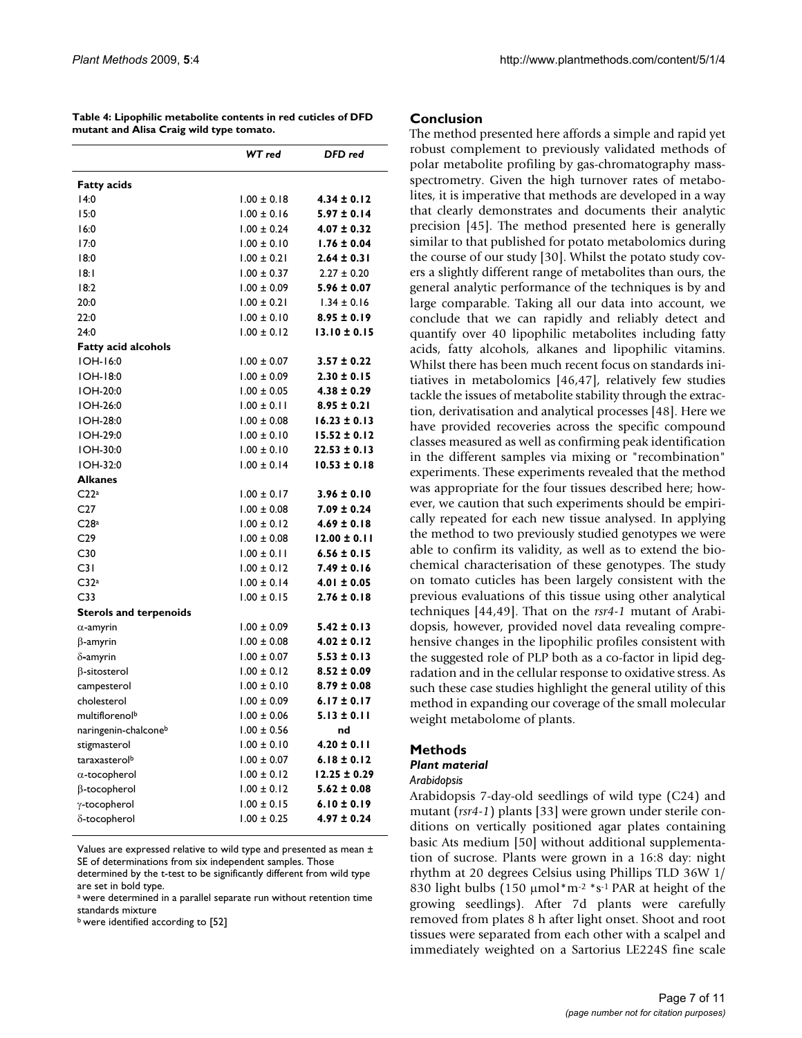| Table 4: Lipophilic metabolite contents in red cuticles of DFD |
|----------------------------------------------------------------|
| mutant and Alisa Craig wild type tomato.                       |

|                               | WT red          | DFD red          |
|-------------------------------|-----------------|------------------|
| <b>Fatty acids</b>            |                 |                  |
| 14:0                          | $1.00 \pm 0.18$ | $4.34 \pm 0.12$  |
| 15:0                          | $1.00 \pm 0.16$ | $5.97 \pm 0.14$  |
| 16:0                          | $1.00 \pm 0.24$ | $4.07 \pm 0.32$  |
| 17:0                          | $1.00 \pm 0.10$ | $1.76 \pm 0.04$  |
| 18:0                          | $1.00 \pm 0.21$ | $2.64 \pm 0.31$  |
| 18:1                          | $1.00 \pm 0.37$ | $2.27 \pm 0.20$  |
| 18:2                          | $1.00 \pm 0.09$ | $5.96 \pm 0.07$  |
| 20:0                          | $1.00 \pm 0.21$ | $1.34 \pm 0.16$  |
| 22:0                          | $1.00 \pm 0.10$ | $8.95 \pm 0.19$  |
| 24:0                          | $1.00 \pm 0.12$ | $13.10 \pm 0.15$ |
| <b>Fatty acid alcohols</b>    |                 |                  |
| IOH-16:0                      | $1.00 \pm 0.07$ | $3.57 \pm 0.22$  |
| <b>IOH-18:0</b>               | $1.00 \pm 0.09$ | $2.30 \pm 0.15$  |
| IOH-20:0                      | $1.00 \pm 0.05$ | $4.38 \pm 0.29$  |
| IOH-26:0                      | $1.00 \pm 0.11$ | $8.95 \pm 0.21$  |
| IOH-28:0                      | $1.00 \pm 0.08$ | $16.23 \pm 0.13$ |
| IOH-29:0                      | $1.00 \pm 0.10$ | $15.52 \pm 0.12$ |
| IOH-30:0                      | $1.00 \pm 0.10$ | $22.53 \pm 0.13$ |
| IOH-32:0                      | $1.00 \pm 0.14$ | $10.53 \pm 0.18$ |
| Alkanes                       |                 |                  |
| C22a                          | $1.00 \pm 0.17$ | $3.96 \pm 0.10$  |
| C <sub>27</sub>               | $1.00 \pm 0.08$ | $7.09 \pm 0.24$  |
| C28a                          | $1.00 \pm 0.12$ | $4.69 \pm 0.18$  |
| C <sub>29</sub>               | $1.00 \pm 0.08$ | $12.00 \pm 0.11$ |
| C30                           | $1.00 \pm 0.11$ | $6.56 \pm 0.15$  |
| C31                           | $1.00 \pm 0.12$ | $7.49 \pm 0.16$  |
| C32a                          | $1.00 \pm 0.14$ | $4.01 \pm 0.05$  |
| C <sub>33</sub>               | $1.00 \pm 0.15$ | $2.76 \pm 0.18$  |
| <b>Sterols and terpenoids</b> |                 |                  |
| $\alpha$ -amyrin              | $1.00 \pm 0.09$ | $5.42 \pm 0.13$  |
| $\beta$ -amyrin               | $1.00 \pm 0.08$ | $4.02 \pm 0.12$  |
| δ-amyrin                      | $1.00 \pm 0.07$ | $5.53 \pm 0.13$  |
| $\beta$ -sitosterol           | $1.00 \pm 0.12$ | $8.52 \pm 0.09$  |
| campesterol                   | $1.00 \pm 0.10$ | $8.79 \pm 0.08$  |
| cholesterol                   | $1.00 \pm 0.09$ | $6.17 \pm 0.17$  |
| multiflorenolb                | $1.00 \pm 0.06$ | $5.13 \pm 0.11$  |
| naringenin-chalconeb          | $1.00 \pm 0.56$ | nd               |
| stigmasterol                  | $1.00 \pm 0.10$ | $4.20 \pm 0.11$  |
| taraxasterolb                 | $1.00 \pm 0.07$ | $6.18 \pm 0.12$  |
| $\alpha$ -tocopherol          | $1.00 \pm 0.12$ | $12.25 \pm 0.29$ |
| $\beta$ -tocopherol           | $1.00 \pm 0.12$ | $5.62 \pm 0.08$  |
| y-tocopherol                  | $1.00 \pm 0.15$ | $6.10 \pm 0.19$  |
| δ-tocopherol                  | $1.00 \pm 0.25$ | $4.97 \pm 0.24$  |

Values are expressed relative to wild type and presented as mean ± SE of determinations from six independent samples. Those determined by the t-test to be significantly different from wild type are set in bold type.

a were determined in a parallel separate run without retention time standards mixture

b were identified according to [52]

#### **Conclusion**

The method presented here affords a simple and rapid yet robust complement to previously validated methods of polar metabolite profiling by gas-chromatography massspectrometry. Given the high turnover rates of metabolites, it is imperative that methods are developed in a way that clearly demonstrates and documents their analytic precision [45]. The method presented here is generally similar to that published for potato metabolomics during the course of our study [30]. Whilst the potato study covers a slightly different range of metabolites than ours, the general analytic performance of the techniques is by and large comparable. Taking all our data into account, we conclude that we can rapidly and reliably detect and quantify over 40 lipophilic metabolites including fatty acids, fatty alcohols, alkanes and lipophilic vitamins. Whilst there has been much recent focus on standards initiatives in metabolomics [46,47], relatively few studies tackle the issues of metabolite stability through the extraction, derivatisation and analytical processes [48]. Here we have provided recoveries across the specific compound classes measured as well as confirming peak identification in the different samples via mixing or "recombination" experiments. These experiments revealed that the method was appropriate for the four tissues described here; however, we caution that such experiments should be empirically repeated for each new tissue analysed. In applying the method to two previously studied genotypes we were able to confirm its validity, as well as to extend the biochemical characterisation of these genotypes. The study on tomato cuticles has been largely consistent with the previous evaluations of this tissue using other analytical techniques [44,49]. That on the *rsr4-1* mutant of Arabidopsis, however, provided novel data revealing comprehensive changes in the lipophilic profiles consistent with the suggested role of PLP both as a co-factor in lipid degradation and in the cellular response to oxidative stress. As such these case studies highlight the general utility of this method in expanding our coverage of the small molecular weight metabolome of plants.

# **Methods**

#### *Plant material*

#### *Arabidopsis*

Arabidopsis 7-day-old seedlings of wild type (C24) and mutant (*rsr4-1*) plants [33] were grown under sterile conditions on vertically positioned agar plates containing basic Ats medium [50] without additional supplementation of sucrose. Plants were grown in a 16:8 day: night rhythm at 20 degrees Celsius using Phillips TLD 36W 1/ 830 light bulbs (150  $\mu$ mol\*m<sup>-2</sup> \*s<sup>-1</sup> PAR at height of the growing seedlings). After 7d plants were carefully removed from plates 8 h after light onset. Shoot and root tissues were separated from each other with a scalpel and immediately weighted on a Sartorius LE224S fine scale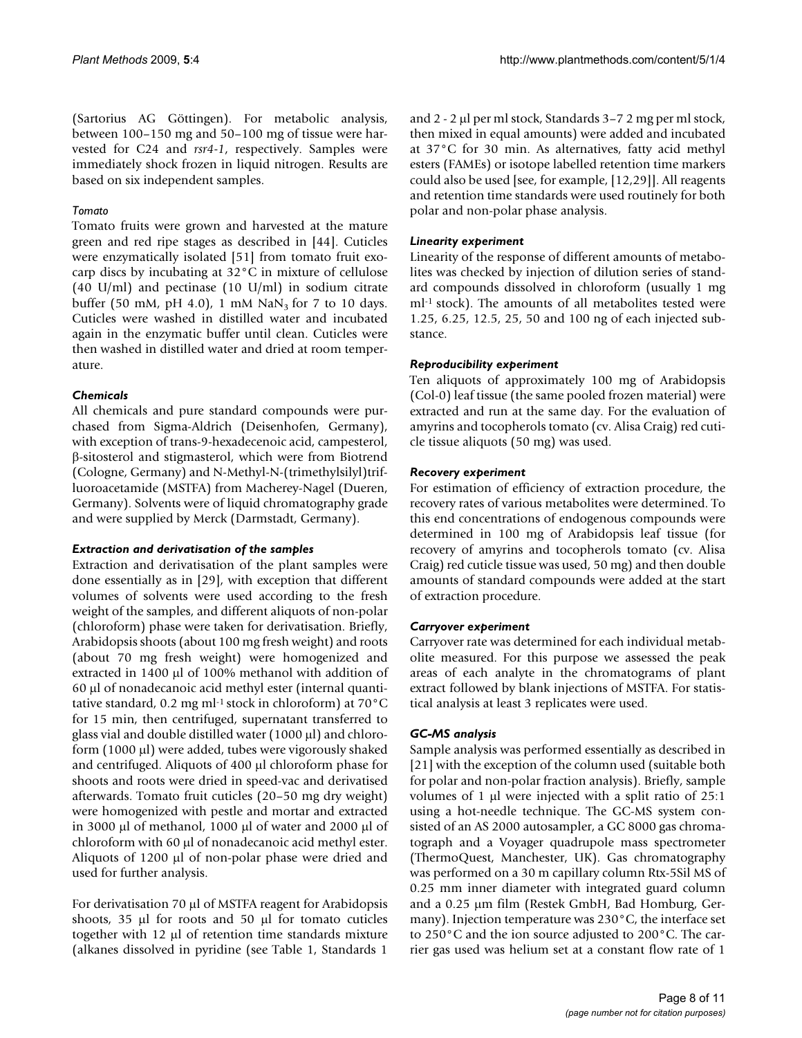(Sartorius AG Göttingen). For metabolic analysis, between 100–150 mg and 50–100 mg of tissue were harvested for C24 and *rsr4-1*, respectively. Samples were immediately shock frozen in liquid nitrogen. Results are based on six independent samples.

#### *Tomato*

Tomato fruits were grown and harvested at the mature green and red ripe stages as described in [44]. Cuticles were enzymatically isolated [51] from tomato fruit exocarp discs by incubating at 32°C in mixture of cellulose (40 U/ml) and pectinase (10 U/ml) in sodium citrate buffer (50 mM, pH 4.0), 1 mM  $\text{NaN}_3$  for 7 to 10 days. Cuticles were washed in distilled water and incubated again in the enzymatic buffer until clean. Cuticles were then washed in distilled water and dried at room temperature.

#### *Chemicals*

All chemicals and pure standard compounds were purchased from Sigma-Aldrich (Deisenhofen, Germany), with exception of trans-9-hexadecenoic acid, campesterol, β-sitosterol and stigmasterol, which were from Biotrend (Cologne, Germany) and N-Methyl-N-(trimethylsilyl)trifluoroacetamide (MSTFA) from Macherey-Nagel (Dueren, Germany). Solvents were of liquid chromatography grade and were supplied by Merck (Darmstadt, Germany).

#### *Extraction and derivatisation of the samples*

Extraction and derivatisation of the plant samples were done essentially as in [29], with exception that different volumes of solvents were used according to the fresh weight of the samples, and different aliquots of non-polar (chloroform) phase were taken for derivatisation. Briefly, Arabidopsis shoots (about 100 mg fresh weight) and roots (about 70 mg fresh weight) were homogenized and extracted in 1400 μl of 100% methanol with addition of 60 μl of nonadecanoic acid methyl ester (internal quantitative standard, 0.2 mg ml<sup>-1</sup> stock in chloroform) at  $70^{\circ}$ C for 15 min, then centrifuged, supernatant transferred to glass vial and double distilled water (1000 μl) and chloroform (1000 μl) were added, tubes were vigorously shaked and centrifuged. Aliquots of 400 μl chloroform phase for shoots and roots were dried in speed-vac and derivatised afterwards. Tomato fruit cuticles (20–50 mg dry weight) were homogenized with pestle and mortar and extracted in 3000 μl of methanol, 1000 μl of water and 2000 μl of chloroform with 60 μl of nonadecanoic acid methyl ester. Aliquots of 1200 μl of non-polar phase were dried and used for further analysis.

For derivatisation 70 μl of MSTFA reagent for Arabidopsis shoots, 35 μl for roots and 50 μl for tomato cuticles together with 12 μl of retention time standards mixture (alkanes dissolved in pyridine (see Table 1, Standards 1

and 2 - 2 μl per ml stock, Standards 3–7 2 mg per ml stock, then mixed in equal amounts) were added and incubated at 37°C for 30 min. As alternatives, fatty acid methyl esters (FAMEs) or isotope labelled retention time markers could also be used [see, for example, [12,29]]. All reagents and retention time standards were used routinely for both polar and non-polar phase analysis.

# *Linearity experiment*

Linearity of the response of different amounts of metabolites was checked by injection of dilution series of standard compounds dissolved in chloroform (usually 1 mg ml-1 stock). The amounts of all metabolites tested were 1.25, 6.25, 12.5, 25, 50 and 100 ng of each injected substance.

# *Reproducibility experiment*

Ten aliquots of approximately 100 mg of Arabidopsis (Col-0) leaf tissue (the same pooled frozen material) were extracted and run at the same day. For the evaluation of amyrins and tocopherols tomato (cv. Alisa Craig) red cuticle tissue aliquots (50 mg) was used.

# *Recovery experiment*

For estimation of efficiency of extraction procedure, the recovery rates of various metabolites were determined. To this end concentrations of endogenous compounds were determined in 100 mg of Arabidopsis leaf tissue (for recovery of amyrins and tocopherols tomato (cv. Alisa Craig) red cuticle tissue was used, 50 mg) and then double amounts of standard compounds were added at the start of extraction procedure.

#### *Carryover experiment*

Carryover rate was determined for each individual metabolite measured. For this purpose we assessed the peak areas of each analyte in the chromatograms of plant extract followed by blank injections of MSTFA. For statistical analysis at least 3 replicates were used.

# *GC-MS analysis*

Sample analysis was performed essentially as described in [21] with the exception of the column used (suitable both for polar and non-polar fraction analysis). Briefly, sample volumes of 1 μl were injected with a split ratio of 25:1 using a hot-needle technique. The GC-MS system consisted of an AS 2000 autosampler, a GC 8000 gas chromatograph and a Voyager quadrupole mass spectrometer (ThermoQuest, Manchester, UK). Gas chromatography was performed on a 30 m capillary column Rtx-5Sil MS of 0.25 mm inner diameter with integrated guard column and a 0.25 μm film (Restek GmbH, Bad Homburg, Germany). Injection temperature was 230°C, the interface set to 250°C and the ion source adjusted to 200°C. The carrier gas used was helium set at a constant flow rate of 1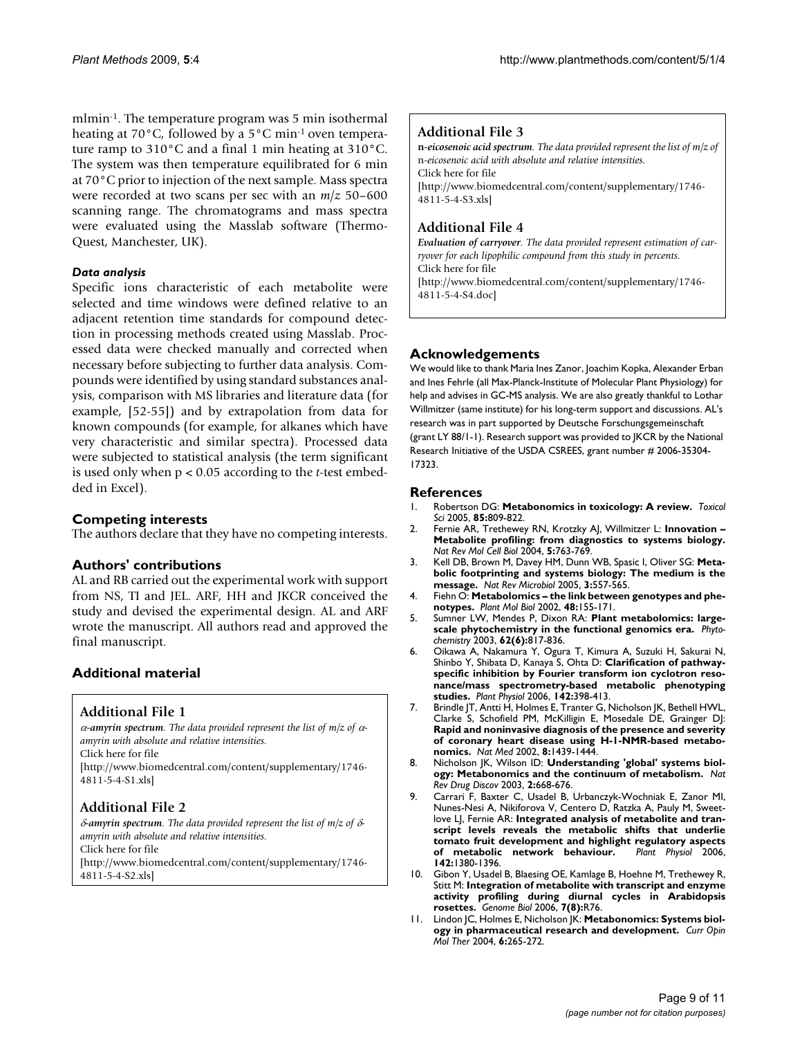mlmin-1. The temperature program was 5 min isothermal heating at 70°C, followed by a 5°C min-1 oven temperature ramp to 310°C and a final 1 min heating at 310°C. The system was then temperature equilibrated for 6 min at 70°C prior to injection of the next sample. Mass spectra were recorded at two scans per sec with an *m*/*z* 50–600 scanning range. The chromatograms and mass spectra were evaluated using the Masslab software (Thermo-Quest, Manchester, UK).

#### *Data analysis*

Specific ions characteristic of each metabolite were selected and time windows were defined relative to an adjacent retention time standards for compound detection in processing methods created using Masslab. Processed data were checked manually and corrected when necessary before subjecting to further data analysis. Compounds were identified by using standard substances analysis, comparison with MS libraries and literature data (for example, [52-55]) and by extrapolation from data for known compounds (for example, for alkanes which have very characteristic and similar spectra). Processed data were subjected to statistical analysis (the term significant is used only when p < 0.05 according to the *t*-test embedded in Excel).

#### **Competing interests**

The authors declare that they have no competing interests.

#### **Authors' contributions**

AL and RB carried out the experimental work with support from NS, TI and JEL. ARF, HH and JKCR conceived the study and devised the experimental design. AL and ARF wrote the manuscript. All authors read and approved the final manuscript.

# **Additional material**

#### **Additional File 1**

α*-amyrin spectrum. The data provided represent the list of m/z of* α*amyrin with absolute and relative intensities.*

Click here for file

[\[http://www.biomedcentral.com/content/supplementary/1746-](http://www.biomedcentral.com/content/supplementary/1746-4811-5-4-S1.xls) 4811-5-4-S1.xls]

# **Additional File 2**

δ*-amyrin spectrum. The data provided represent the list of m/z of* δ*amyrin with absolute and relative intensities.* Click here for file

[\[http://www.biomedcentral.com/content/supplementary/1746-](http://www.biomedcentral.com/content/supplementary/1746-4811-5-4-S2.xls) 4811-5-4-S2.xls]

#### **Additional File 3**

**n***-eicosenoic acid spectrum. The data provided represent the list of m/z of*  n*-eicosenoic acid with absolute and relative intensities.* Click here for file [\[http://www.biomedcentral.com/content/supplementary/1746-](http://www.biomedcentral.com/content/supplementary/1746-4811-5-4-S3.xls) 4811-5-4-S3.xls]

# **Additional File 4**

*Evaluation of carryover. The data provided represent estimation of carryover for each lipophilic compound from this study in percents.* Click here for file

[\[http://www.biomedcentral.com/content/supplementary/1746-](http://www.biomedcentral.com/content/supplementary/1746-4811-5-4-S4.doc) 4811-5-4-S4.doc]

# **Acknowledgements**

We would like to thank Maria Ines Zanor, Joachim Kopka, Alexander Erban and Ines Fehrle (all Max-Planck-Institute of Molecular Plant Physiology) for help and advises in GC-MS analysis. We are also greatly thankful to Lothar Willmitzer (same institute) for his long-term support and discussions. AL's research was in part supported by Deutsche Forschungsgemeinschaft (grant LY 88/1-1). Research support was provided to JKCR by the National Research Initiative of the USDA CSREES, grant number # 2006-35304- 17323.

#### **References**

- 1. Robertson DG: **[Metabonomics in toxicology: A review.](http://www.ncbi.nlm.nih.gov/entrez/query.fcgi?cmd=Retrieve&db=PubMed&dopt=Abstract&list_uids=15689416)** *Toxicol Sci* 2005, **85:**809-822.
- 2. Fernie AR, Trethewey RN, Krotzky AJ, Willmitzer L: **[Innovation –](http://www.ncbi.nlm.nih.gov/entrez/query.fcgi?cmd=Retrieve&db=PubMed&dopt=Abstract&list_uids=15340383) [Metabolite profiling: from diagnostics to systems biology.](http://www.ncbi.nlm.nih.gov/entrez/query.fcgi?cmd=Retrieve&db=PubMed&dopt=Abstract&list_uids=15340383)** *Nat Rev Mol Cell Biol* 2004, **5:**763-769.
- 3. Kell DB, Brown M, Davey HM, Dunn WB, Spasic I, Oliver SG: **[Meta](http://www.ncbi.nlm.nih.gov/entrez/query.fcgi?cmd=Retrieve&db=PubMed&dopt=Abstract&list_uids=15953932)[bolic footprinting and systems biology: The medium is the](http://www.ncbi.nlm.nih.gov/entrez/query.fcgi?cmd=Retrieve&db=PubMed&dopt=Abstract&list_uids=15953932) [message.](http://www.ncbi.nlm.nih.gov/entrez/query.fcgi?cmd=Retrieve&db=PubMed&dopt=Abstract&list_uids=15953932)** *Nat Rev Microbiol* 2005, **3:**557-565.
- 4. Fiehn O: **[Metabolomics the link between genotypes and phe](http://www.ncbi.nlm.nih.gov/entrez/query.fcgi?cmd=Retrieve&db=PubMed&dopt=Abstract&list_uids=11860207)[notypes.](http://www.ncbi.nlm.nih.gov/entrez/query.fcgi?cmd=Retrieve&db=PubMed&dopt=Abstract&list_uids=11860207)** *Plant Mol Biol* 2002, **48:**155-171.
- 5. Sumner LW, Mendes P, Dixon RA: **[Plant metabolomics: large](http://www.ncbi.nlm.nih.gov/entrez/query.fcgi?cmd=Retrieve&db=PubMed&dopt=Abstract&list_uids=12590110)[scale phytochemistry in the functional genomics era.](http://www.ncbi.nlm.nih.gov/entrez/query.fcgi?cmd=Retrieve&db=PubMed&dopt=Abstract&list_uids=12590110)** *Phytochemistry* 2003, **62(6):**817-836.
- 6. Oikawa A, Nakamura Y, Ogura T, Kimura A, Suzuki H, Sakurai N, Shinbo Y, Shibata D, Kanaya S, Ohta D: **[Clarification of pathway](http://www.ncbi.nlm.nih.gov/entrez/query.fcgi?cmd=Retrieve&db=PubMed&dopt=Abstract&list_uids=16905671)[specific inhibition by Fourier transform ion cyclotron reso](http://www.ncbi.nlm.nih.gov/entrez/query.fcgi?cmd=Retrieve&db=PubMed&dopt=Abstract&list_uids=16905671)nance/mass spectrometry-based metabolic phenotyping [studies.](http://www.ncbi.nlm.nih.gov/entrez/query.fcgi?cmd=Retrieve&db=PubMed&dopt=Abstract&list_uids=16905671)** *Plant Physiol* 2006, **142:**398-413.
- 7. Brindle JT, Antti H, Holmes E, Tranter G, Nicholson JK, Bethell HWL, Clarke S, Schofield PM, McKilligin E, Mosedale DE, Grainger DJ: **[Rapid and noninvasive diagnosis of the presence and severity](http://www.ncbi.nlm.nih.gov/entrez/query.fcgi?cmd=Retrieve&db=PubMed&dopt=Abstract&list_uids=12447357) of coronary heart disease using H-1-NMR-based metabo[nomics.](http://www.ncbi.nlm.nih.gov/entrez/query.fcgi?cmd=Retrieve&db=PubMed&dopt=Abstract&list_uids=12447357)** *Nat Med* 2002, **8:**1439-1444.
- 8. Nicholson JK, Wilson ID: **[Understanding 'global' systems biol](http://www.ncbi.nlm.nih.gov/entrez/query.fcgi?cmd=Retrieve&db=PubMed&dopt=Abstract&list_uids=12904817)[ogy: Metabonomics and the continuum of metabolism.](http://www.ncbi.nlm.nih.gov/entrez/query.fcgi?cmd=Retrieve&db=PubMed&dopt=Abstract&list_uids=12904817)** *Nat Rev Drug Discov* 2003, **2:**668-676.
- 9. Carrari F, Baxter C, Usadel B, Urbanczyk-Wochniak E, Zanor MI, Nunes-Nesi A, Nikiforova V, Centero D, Ratzka A, Pauly M, Sweetlove LJ, Fernie AR: **[Integrated analysis of metabolite and tran](http://www.ncbi.nlm.nih.gov/entrez/query.fcgi?cmd=Retrieve&db=PubMed&dopt=Abstract&list_uids=17071647)[script levels reveals the metabolic shifts that underlie](http://www.ncbi.nlm.nih.gov/entrez/query.fcgi?cmd=Retrieve&db=PubMed&dopt=Abstract&list_uids=17071647) tomato fruit development and highlight regulatory aspects**<br>of metabolic network behaviour. Plant Physiol 2006. [of metabolic network behaviour.](http://www.ncbi.nlm.nih.gov/entrez/query.fcgi?cmd=Retrieve&db=PubMed&dopt=Abstract&list_uids=17071647) **142:**1380-1396.
- 10. Gibon Y, Usadel B, Blaesing OE, Kamlage B, Hoehne M, Trethewey R, Stitt M: **[Integration of metabolite with transcript and enzyme](http://www.ncbi.nlm.nih.gov/entrez/query.fcgi?cmd=Retrieve&db=PubMed&dopt=Abstract&list_uids=16916443) [activity profiling during diurnal cycles in Arabidopsis](http://www.ncbi.nlm.nih.gov/entrez/query.fcgi?cmd=Retrieve&db=PubMed&dopt=Abstract&list_uids=16916443) [rosettes.](http://www.ncbi.nlm.nih.gov/entrez/query.fcgi?cmd=Retrieve&db=PubMed&dopt=Abstract&list_uids=16916443)** *Genome Biol* 2006, **7(8):**R76.
- 11. Lindon JC, Holmes E, Nicholson JK: [Metabonomics: Systems biol](http://www.ncbi.nlm.nih.gov/entrez/query.fcgi?cmd=Retrieve&db=PubMed&dopt=Abstract&list_uids=15264428)**[ogy in pharmaceutical research and development.](http://www.ncbi.nlm.nih.gov/entrez/query.fcgi?cmd=Retrieve&db=PubMed&dopt=Abstract&list_uids=15264428)** *Curr Opin Mol Ther* 2004, **6:**265-272.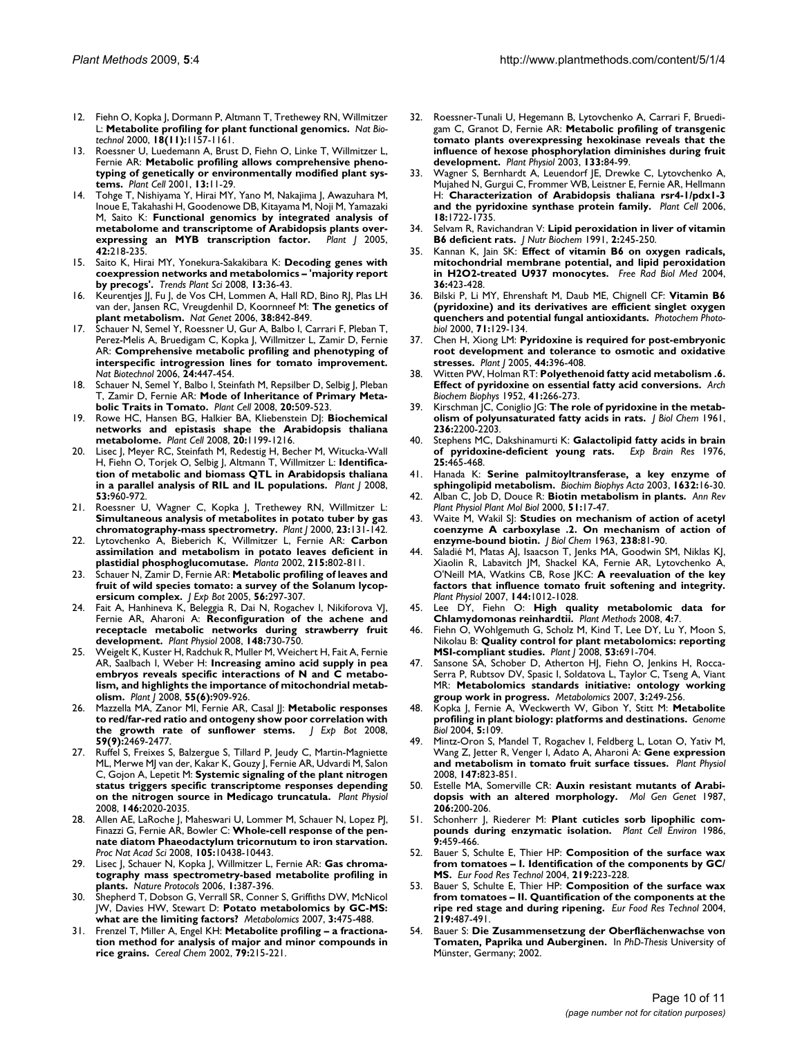- 12. Fiehn O, Kopka J, Dormann P, Altmann T, Trethewey RN, Willmitzer L: **[Metabolite profiling for plant functional genomics.](http://www.ncbi.nlm.nih.gov/entrez/query.fcgi?cmd=Retrieve&db=PubMed&dopt=Abstract&list_uids=11062433)** *Nat Biotechnol* 2000, **18(11):**1157-1161.
- 13. Roessner U, Luedemann A, Brust D, Fiehn O, Linke T, Willmitzer L, Fernie AR: **[Metabolic profiling allows comprehensive pheno](http://www.ncbi.nlm.nih.gov/entrez/query.fcgi?cmd=Retrieve&db=PubMed&dopt=Abstract&list_uids=11158526)[typing of genetically or environmentally modified plant sys](http://www.ncbi.nlm.nih.gov/entrez/query.fcgi?cmd=Retrieve&db=PubMed&dopt=Abstract&list_uids=11158526)[tems.](http://www.ncbi.nlm.nih.gov/entrez/query.fcgi?cmd=Retrieve&db=PubMed&dopt=Abstract&list_uids=11158526)** *Plant Cell* 2001, **13:**11-29.
- 14. Tohge T, Nishiyama Y, Hirai MY, Yano M, Nakajima J, Awazuhara M, Inoue E, Takahashi H, Goodenowe DB, Kitayama M, Noji M, Yamazaki M, Saito K: **[Functional genomics by integrated analysis of](http://www.ncbi.nlm.nih.gov/entrez/query.fcgi?cmd=Retrieve&db=PubMed&dopt=Abstract&list_uids=15807784) [metabolome and transcriptome of Arabidopsis plants over](http://www.ncbi.nlm.nih.gov/entrez/query.fcgi?cmd=Retrieve&db=PubMed&dopt=Abstract&list_uids=15807784)[expressing an MYB transcription factor.](http://www.ncbi.nlm.nih.gov/entrez/query.fcgi?cmd=Retrieve&db=PubMed&dopt=Abstract&list_uids=15807784)** *Plant J* 2005, **42:**218-235.
- 15. Saito K, Hirai MY, Yonekura-Sakakibara K: **[Decoding genes with](http://www.ncbi.nlm.nih.gov/entrez/query.fcgi?cmd=Retrieve&db=PubMed&dopt=Abstract&list_uids=18160330) [coexpression networks and metabolomics – 'majority report](http://www.ncbi.nlm.nih.gov/entrez/query.fcgi?cmd=Retrieve&db=PubMed&dopt=Abstract&list_uids=18160330) [by precogs'.](http://www.ncbi.nlm.nih.gov/entrez/query.fcgi?cmd=Retrieve&db=PubMed&dopt=Abstract&list_uids=18160330)** *Trends Plant Sci* 2008, **13:**36-43.
- 16. Keurentjes JJ, Fu J, de Vos CH, Lommen A, Hall RD, Bino RJ, Plas LH van der, Jansen RC, Vreugdenhil D, Koornneef M: **[The genetics of](http://www.ncbi.nlm.nih.gov/entrez/query.fcgi?cmd=Retrieve&db=PubMed&dopt=Abstract&list_uids=16751770) [plant metabolism.](http://www.ncbi.nlm.nih.gov/entrez/query.fcgi?cmd=Retrieve&db=PubMed&dopt=Abstract&list_uids=16751770)** *Nat Genet* 2006, **38:**842-849.
- 17. Schauer N, Semel Y, Roessner U, Gur A, Balbo I, Carrari F, Pleban T, Perez-Melis A, Bruedigam C, Kopka J, Willmitzer L, Zamir D, Fernie AR: **[Comprehensive metabolic profiling and phenotyping of](http://www.ncbi.nlm.nih.gov/entrez/query.fcgi?cmd=Retrieve&db=PubMed&dopt=Abstract&list_uids=16531992) [interspecific introgression lines for tomato improvement.](http://www.ncbi.nlm.nih.gov/entrez/query.fcgi?cmd=Retrieve&db=PubMed&dopt=Abstract&list_uids=16531992)** *Nat Biotechnol* 2006, **24:**447-454.
- 18. Schauer N, Semel Y, Balbo I, Steinfath M, Repsilber D, Selbig J, Pleban T, Zamir D, Fernie AR: **[Mode of Inheritance of Primary Meta](http://www.ncbi.nlm.nih.gov/entrez/query.fcgi?cmd=Retrieve&db=PubMed&dopt=Abstract&list_uids=18364465)[bolic Traits in Tomato.](http://www.ncbi.nlm.nih.gov/entrez/query.fcgi?cmd=Retrieve&db=PubMed&dopt=Abstract&list_uids=18364465)** *Plant Cell* 2008, **20:**509-523.
- 19. Rowe HC, Hansen BG, Halkier BA, Kliebenstein DJ: **[Biochemical](http://www.ncbi.nlm.nih.gov/entrez/query.fcgi?cmd=Retrieve&db=PubMed&dopt=Abstract&list_uids=18515501) [networks and epistasis shape the Arabidopsis thaliana](http://www.ncbi.nlm.nih.gov/entrez/query.fcgi?cmd=Retrieve&db=PubMed&dopt=Abstract&list_uids=18515501) [metabolome.](http://www.ncbi.nlm.nih.gov/entrez/query.fcgi?cmd=Retrieve&db=PubMed&dopt=Abstract&list_uids=18515501)** *Plant Cell* 2008, **20:**1199-1216.
- Lisec J, Meyer RC, Steinfath M, Redestig H, Becher M, Witucka-Wall H, Fiehn O, Torjek O, Selbig J, Altmann T, Willmitzer L: **[Identifica](http://www.ncbi.nlm.nih.gov/entrez/query.fcgi?cmd=Retrieve&db=PubMed&dopt=Abstract&list_uids=18047556)[tion of metabolic and biomass QTL in Arabidopsis thaliana](http://www.ncbi.nlm.nih.gov/entrez/query.fcgi?cmd=Retrieve&db=PubMed&dopt=Abstract&list_uids=18047556) [in a parallel analysis of RIL and IL populations.](http://www.ncbi.nlm.nih.gov/entrez/query.fcgi?cmd=Retrieve&db=PubMed&dopt=Abstract&list_uids=18047556)** *Plant J* 2008, **53:**960-972.
- 21. Roessner U, Wagner C, Kopka J, Trethewey RN, Willmitzer L: **[Simultaneous analysis of metabolites in potato tuber by gas](http://www.ncbi.nlm.nih.gov/entrez/query.fcgi?cmd=Retrieve&db=PubMed&dopt=Abstract&list_uids=10929108) [chromatography-mass spectrometry.](http://www.ncbi.nlm.nih.gov/entrez/query.fcgi?cmd=Retrieve&db=PubMed&dopt=Abstract&list_uids=10929108)** *Plant J* 2000, **23:**131-142.
- 22. Lytovchenko A, Bieberich K, Willmitzer L, Fernie AR: **[Carbon](http://www.ncbi.nlm.nih.gov/entrez/query.fcgi?cmd=Retrieve&db=PubMed&dopt=Abstract&list_uids=12244446) [assimilation and metabolism in potato leaves deficient in](http://www.ncbi.nlm.nih.gov/entrez/query.fcgi?cmd=Retrieve&db=PubMed&dopt=Abstract&list_uids=12244446) [plastidial phosphoglucomutase.](http://www.ncbi.nlm.nih.gov/entrez/query.fcgi?cmd=Retrieve&db=PubMed&dopt=Abstract&list_uids=12244446)** *Planta* 2002, **215:**802-811.
- 23. Schauer N, Zamir D, Fernie AR: **[Metabolic profiling of leaves and](http://www.ncbi.nlm.nih.gov/entrez/query.fcgi?cmd=Retrieve&db=PubMed&dopt=Abstract&list_uids=15596477) [fruit of wild species tomato: a survey of the Solanum lycop](http://www.ncbi.nlm.nih.gov/entrez/query.fcgi?cmd=Retrieve&db=PubMed&dopt=Abstract&list_uids=15596477)[ersicum complex.](http://www.ncbi.nlm.nih.gov/entrez/query.fcgi?cmd=Retrieve&db=PubMed&dopt=Abstract&list_uids=15596477)** *J Exp Bot* 2005, **56:**297-307.
- 24. Fait A, Hanhineva K, Beleggia R, Dai N, Rogachev I, Nikiforova VJ, Fernie AR, Aharoni A: **[Reconfiguration of the achene and](http://www.ncbi.nlm.nih.gov/entrez/query.fcgi?cmd=Retrieve&db=PubMed&dopt=Abstract&list_uids=18715960) [receptacle metabolic networks during strawberry fruit](http://www.ncbi.nlm.nih.gov/entrez/query.fcgi?cmd=Retrieve&db=PubMed&dopt=Abstract&list_uids=18715960) [development.](http://www.ncbi.nlm.nih.gov/entrez/query.fcgi?cmd=Retrieve&db=PubMed&dopt=Abstract&list_uids=18715960)** *Plant Physiol* 2008, **148:**730-750.
- 25. Weigelt K, Kuster H, Radchuk R, Muller M, Weichert H, Fait A, Fernie AR, Saalbach I, Weber H: **[Increasing amino acid supply in pea](http://www.ncbi.nlm.nih.gov/entrez/query.fcgi?cmd=Retrieve&db=PubMed&dopt=Abstract&list_uids=18494854) embryos reveals specific interactions of N and C metabo[lism, and highlights the importance of mitochondrial metab](http://www.ncbi.nlm.nih.gov/entrez/query.fcgi?cmd=Retrieve&db=PubMed&dopt=Abstract&list_uids=18494854)[olism.](http://www.ncbi.nlm.nih.gov/entrez/query.fcgi?cmd=Retrieve&db=PubMed&dopt=Abstract&list_uids=18494854)** *Plant J* 2008, **55(6):**909-926.
- 26. Mazzella MA, Zanor MI, Fernie AR, Casal JJ: **[Metabolic responses](http://www.ncbi.nlm.nih.gov/entrez/query.fcgi?cmd=Retrieve&db=PubMed&dopt=Abstract&list_uids=18515831) [to red/far-red ratio and ontogeny show poor correlation with](http://www.ncbi.nlm.nih.gov/entrez/query.fcgi?cmd=Retrieve&db=PubMed&dopt=Abstract&list_uids=18515831) [the growth rate of sunflower stems.](http://www.ncbi.nlm.nih.gov/entrez/query.fcgi?cmd=Retrieve&db=PubMed&dopt=Abstract&list_uids=18515831)** *J Exp Bot* 2008, **59(9):**2469-2477.
- 27. Ruffel S, Freixes S, Balzergue S, Tillard P, Jeudy C, Martin-Magniette ML, Merwe MJ van der, Kakar K, Gouzy J, Fernie AR, Udvardi M, Salon C, Gojon A, Lepetit M: **[Systemic signaling of the plant nitrogen](http://www.ncbi.nlm.nih.gov/entrez/query.fcgi?cmd=Retrieve&db=PubMed&dopt=Abstract&list_uids=18287487) [status triggers specific transcriptome responses depending](http://www.ncbi.nlm.nih.gov/entrez/query.fcgi?cmd=Retrieve&db=PubMed&dopt=Abstract&list_uids=18287487) [on the nitrogen source in Medicago truncatula.](http://www.ncbi.nlm.nih.gov/entrez/query.fcgi?cmd=Retrieve&db=PubMed&dopt=Abstract&list_uids=18287487)** *Plant Physiol* 2008, **146:**2020-2035.
- Allen AE, LaRoche J, Maheswari U, Lommer M, Schauer N, Lopez PJ, Finazzi G, Fernie AR, Bowler C: **[Whole-cell response of the pen](http://www.ncbi.nlm.nih.gov/entrez/query.fcgi?cmd=Retrieve&db=PubMed&dopt=Abstract&list_uids=18653757)[nate diatom Phaeodactylum tricornutum to iron starvation.](http://www.ncbi.nlm.nih.gov/entrez/query.fcgi?cmd=Retrieve&db=PubMed&dopt=Abstract&list_uids=18653757)** *Proc Nat Acad Sci* 2008, **105:**10438-10443.
- 29. Lisec J, Schauer N, Kopka J, Willmitzer L, Fernie AR: **[Gas chroma](http://www.ncbi.nlm.nih.gov/entrez/query.fcgi?cmd=Retrieve&db=PubMed&dopt=Abstract&list_uids=17406261)[tography mass spectrometry-based metabolite profiling in](http://www.ncbi.nlm.nih.gov/entrez/query.fcgi?cmd=Retrieve&db=PubMed&dopt=Abstract&list_uids=17406261) [plants.](http://www.ncbi.nlm.nih.gov/entrez/query.fcgi?cmd=Retrieve&db=PubMed&dopt=Abstract&list_uids=17406261)** *Nature Protocols* 2006, **1:**387-396.
- 30. Shepherd T, Dobson G, Verrall SR, Conner S, Griffiths DW, McNicol JW, Davies HW, Stewart D: **Potato metabolomics by GC-MS: what are the limiting factors?** *Metabolomics* 2007, **3:**475-488.
- 31. Frenzel T, Miller A, Engel KH: **Metabolite profiling a fractionation method for analysis of major and minor compounds in rice grains.** *Cereal Chem* 2002, **79:**215-221.
- 32. Roessner-Tunali U, Hegemann B, Lytovchenko A, Carrari F, Bruedigam C, Granot D, Fernie AR: **[Metabolic profiling of transgenic](http://www.ncbi.nlm.nih.gov/entrez/query.fcgi?cmd=Retrieve&db=PubMed&dopt=Abstract&list_uids=12970477) tomato plants overexpressing hexokinase reveals that the [influence of hexose phosphorylation diminishes during fruit](http://www.ncbi.nlm.nih.gov/entrez/query.fcgi?cmd=Retrieve&db=PubMed&dopt=Abstract&list_uids=12970477) [development.](http://www.ncbi.nlm.nih.gov/entrez/query.fcgi?cmd=Retrieve&db=PubMed&dopt=Abstract&list_uids=12970477)** *Plant Physiol* 2003, **133:**84-99.
- 33. Wagner S, Bernhardt A, Leuendorf JE, Drewke C, Lytovchenko A, Mujahed N, Gurgui C, Frommer WB, Leistner E, Fernie AR, Hellmann H: **[Characterization of Arabidopsis thaliana rsr4-1/pdx1-3](http://www.ncbi.nlm.nih.gov/entrez/query.fcgi?cmd=Retrieve&db=PubMed&dopt=Abstract&list_uids=16766694) [and the pyridoxine synthase protein family.](http://www.ncbi.nlm.nih.gov/entrez/query.fcgi?cmd=Retrieve&db=PubMed&dopt=Abstract&list_uids=16766694)** *Plant Cell* 2006, **18:**1722-1735.
- 34. Selvam R, Ravichandran V: **Lipid peroxidation in liver of vitamin B6 deficient rats.** *J Nutr Biochem* 1991, **2:**245-250.
- 35. Kannan K, Jain SK: **[Effect of vitamin B6 on oxygen radicals,](http://www.ncbi.nlm.nih.gov/entrez/query.fcgi?cmd=Retrieve&db=PubMed&dopt=Abstract&list_uids=14975445) [mitochondrial membrane potential, and lipid peroxidation](http://www.ncbi.nlm.nih.gov/entrez/query.fcgi?cmd=Retrieve&db=PubMed&dopt=Abstract&list_uids=14975445) [in H2O2-treated U937 monocytes.](http://www.ncbi.nlm.nih.gov/entrez/query.fcgi?cmd=Retrieve&db=PubMed&dopt=Abstract&list_uids=14975445)** *Free Rad Biol Med* 2004, **36:**423-428.
- 36. Bilski P, Li MY, Ehrenshaft M, Daub ME, Chignell CF: **[Vitamin B6](http://www.ncbi.nlm.nih.gov/entrez/query.fcgi?cmd=Retrieve&db=PubMed&dopt=Abstract&list_uids=10687384) [\(pyridoxine\) and its derivatives are efficient singlet oxygen](http://www.ncbi.nlm.nih.gov/entrez/query.fcgi?cmd=Retrieve&db=PubMed&dopt=Abstract&list_uids=10687384) [quenchers and potential fungal antioxidants.](http://www.ncbi.nlm.nih.gov/entrez/query.fcgi?cmd=Retrieve&db=PubMed&dopt=Abstract&list_uids=10687384)** *Photochem Photobiol* 2000, **71:**129-134.
- 37. Chen H, Xiong LM: **[Pyridoxine is required for post-embryonic](http://www.ncbi.nlm.nih.gov/entrez/query.fcgi?cmd=Retrieve&db=PubMed&dopt=Abstract&list_uids=16236150) [root development and tolerance to osmotic and oxidative](http://www.ncbi.nlm.nih.gov/entrez/query.fcgi?cmd=Retrieve&db=PubMed&dopt=Abstract&list_uids=16236150) [stresses.](http://www.ncbi.nlm.nih.gov/entrez/query.fcgi?cmd=Retrieve&db=PubMed&dopt=Abstract&list_uids=16236150)** *Plant J* 2005, **44:**396-408.
- 38. Witten PW, Holman RT: **[Polyethenoid fatty acid metabolism .6.](http://www.ncbi.nlm.nih.gov/entrez/query.fcgi?cmd=Retrieve&db=PubMed&dopt=Abstract&list_uids=13008444) [Effect of pyridoxine on essential fatty acid conversions.](http://www.ncbi.nlm.nih.gov/entrez/query.fcgi?cmd=Retrieve&db=PubMed&dopt=Abstract&list_uids=13008444)** *Arch Biochem Biophys* 1952, **41:**266-273.
- Kirschman  $|C|$ , Coniglio JG: [The role of pyridoxine in the metab](http://www.ncbi.nlm.nih.gov/entrez/query.fcgi?cmd=Retrieve&db=PubMed&dopt=Abstract&list_uids=13756302)**[olism of polyunsaturated fatty acids in rats.](http://www.ncbi.nlm.nih.gov/entrez/query.fcgi?cmd=Retrieve&db=PubMed&dopt=Abstract&list_uids=13756302)** *J Biol Chem* 1961, **236:**2200-2203.
- 40. Stephens MC, Dakshinamurti K: **[Galactolipid fatty acids in brain](http://www.ncbi.nlm.nih.gov/entrez/query.fcgi?cmd=Retrieve&db=PubMed&dopt=Abstract&list_uids=954883) [of pyridoxine-deficient young rats.](http://www.ncbi.nlm.nih.gov/entrez/query.fcgi?cmd=Retrieve&db=PubMed&dopt=Abstract&list_uids=954883)** *Exp Brain Res* 1976, **25:**465-468.
- 41. Hanada K: **[Serine palmitoyltransferase, a key enzyme of](http://www.ncbi.nlm.nih.gov/entrez/query.fcgi?cmd=Retrieve&db=PubMed&dopt=Abstract&list_uids=12782147) [sphingolipid metabolism.](http://www.ncbi.nlm.nih.gov/entrez/query.fcgi?cmd=Retrieve&db=PubMed&dopt=Abstract&list_uids=12782147)** *Biochim Biophys Acta* 2003, **1632:**16-30.
- 42. Alban C, Job D, Douce R: **Biotin metabolism in plants.** *Ann Rev Plant Physiol Plant Mol Biol* 2000, **51:**17-47.
- 43. Waite M, Wakil SJ: **[Studies on mechanism of action of acetyl](http://www.ncbi.nlm.nih.gov/entrez/query.fcgi?cmd=Retrieve&db=PubMed&dopt=Abstract&list_uids=13998336) [coenzyme A carboxylase .2. On mechanism of action of](http://www.ncbi.nlm.nih.gov/entrez/query.fcgi?cmd=Retrieve&db=PubMed&dopt=Abstract&list_uids=13998336) [enzyme-bound biotin.](http://www.ncbi.nlm.nih.gov/entrez/query.fcgi?cmd=Retrieve&db=PubMed&dopt=Abstract&list_uids=13998336)** *J Biol Chem* 1963, **238:**81-90.
- Saladié M, Matas AJ, Isaacson T, Jenks MA, Goodwin SM, Niklas KJ, Xiaolin R, Labavitch JM, Shackel KA, Fernie AR, Lytovchenko A, O'Neill MA, Watkins CB, Rose JKC: **[A reevaluation of the key](http://www.ncbi.nlm.nih.gov/entrez/query.fcgi?cmd=Retrieve&db=PubMed&dopt=Abstract&list_uids=17449643) [factors that influence tomato fruit softening and integrity.](http://www.ncbi.nlm.nih.gov/entrez/query.fcgi?cmd=Retrieve&db=PubMed&dopt=Abstract&list_uids=17449643)** *Plant Physiol* 2007, **144:**1012-1028.
- 45. Lee DY, Fiehn O: **[High quality metabolomic data for](http://www.ncbi.nlm.nih.gov/entrez/query.fcgi?cmd=Retrieve&db=PubMed&dopt=Abstract&list_uids=18442406) [Chlamydomonas reinhardtii.](http://www.ncbi.nlm.nih.gov/entrez/query.fcgi?cmd=Retrieve&db=PubMed&dopt=Abstract&list_uids=18442406)** *Plant Methods* 2008, **4:**7.
- 46. Fiehn O, Wohlgemuth G, Scholz M, Kind T, Lee DY, Lu Y, Moon S, Nikolau B: **[Quality control for plant metabolomics: reporting](http://www.ncbi.nlm.nih.gov/entrez/query.fcgi?cmd=Retrieve&db=PubMed&dopt=Abstract&list_uids=18269577) [MSI-compliant studies.](http://www.ncbi.nlm.nih.gov/entrez/query.fcgi?cmd=Retrieve&db=PubMed&dopt=Abstract&list_uids=18269577)** *Plant J* 2008, **53:**691-704.
- 47. Sansone SA, Schober D, Atherton HJ, Fiehn O, Jenkins H, Rocca-Serra P, Rubtsov DV, Spasic I, Soldatova L, Taylor C, Tseng A, Viant MR: **Metabolomics standards initiative: ontology working group work in progress.** *Metabolomics* 2007, **3:**249-256.
- 48. Kopka J, Fernie A, Weckwerth W, Gibon Y, Stitt M: **[Metabolite](http://www.ncbi.nlm.nih.gov/entrez/query.fcgi?cmd=Retrieve&db=PubMed&dopt=Abstract&list_uids=15186482) [profiling in plant biology: platforms and destinations.](http://www.ncbi.nlm.nih.gov/entrez/query.fcgi?cmd=Retrieve&db=PubMed&dopt=Abstract&list_uids=15186482)** *Genome Biol* 2004, **5:**109.
- 49. Mintz-Oron S, Mandel T, Rogachev I, Feldberg L, Lotan O, Yativ M, Wang Z, Jetter R, Venger I, Adato A, Aharoni A: **[Gene expression](http://www.ncbi.nlm.nih.gov/entrez/query.fcgi?cmd=Retrieve&db=PubMed&dopt=Abstract&list_uids=18441227) [and metabolism in tomato fruit surface tissues.](http://www.ncbi.nlm.nih.gov/entrez/query.fcgi?cmd=Retrieve&db=PubMed&dopt=Abstract&list_uids=18441227)** *Plant Physiol* 2008, **147:**823-851.
- 50. Estelle MA, Somerville CR: **Auxin resistant mutants of Arabidopsis with an altered morphology.** *Mol Gen Genet* 1987, **206:**200-206.
- 51. Schonherr J, Riederer M: **Plant cuticles sorb lipophilic compounds during enzymatic isolation.** *Plant Cell Environ* 1986, **9:**459-466.
- 52. Bauer S, Schulte E, Thier HP: **Composition of the surface wax from tomatoes – I. Identification of the components by GC/ MS.** *Eur Food Res Technol* 2004, **219:**223-228.
- 53. Bauer S, Schulte E, Thier HP: **Composition of the surface wax from tomatoes – II. Quantification of the components at the ripe red stage and during ripening.** *Eur Food Res Technol* 2004, **219:**487-491.
- 54. Bauer S: **Die Zusammensetzung der Oberflächenwachse von Tomaten, Paprika und Auberginen.** In *PhD-Thesis* University of Münster, Germany; 2002.